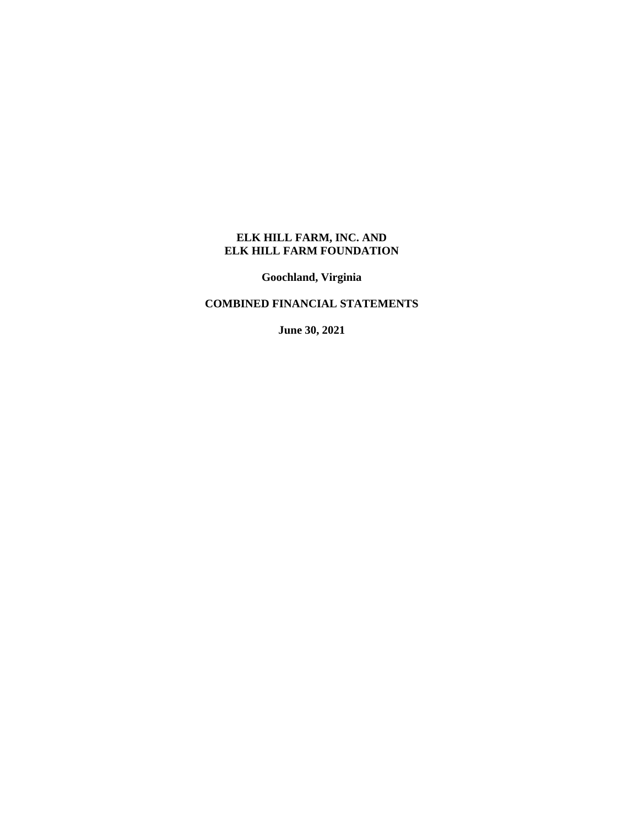**Goochland, Virginia**

# **COMBINED FINANCIAL STATEMENTS**

**June 30, 2021**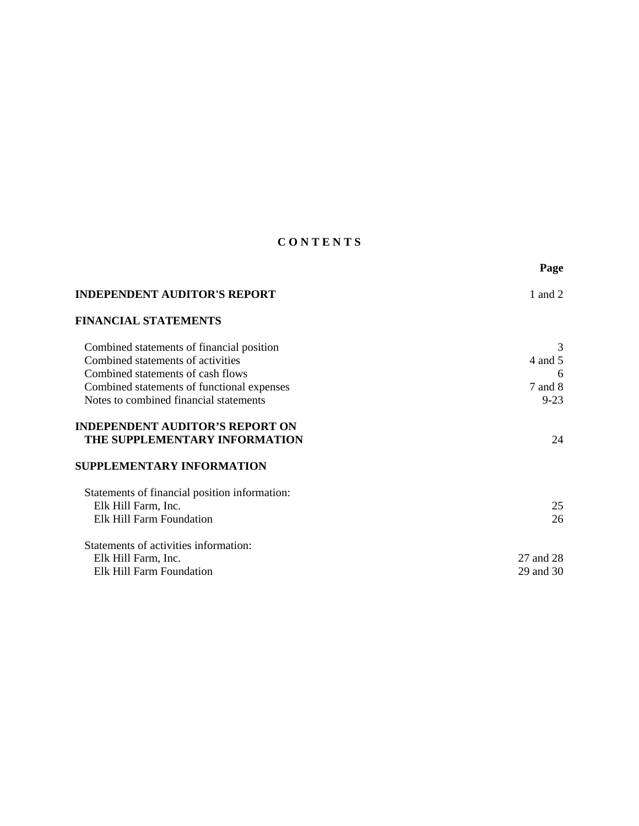# **C O N T E N T S**

|                                                                         | Page      |
|-------------------------------------------------------------------------|-----------|
| <b>INDEPENDENT AUDITOR'S REPORT</b>                                     | 1 and 2   |
| <b>FINANCIAL STATEMENTS</b>                                             |           |
| Combined statements of financial position                               | 3         |
| Combined statements of activities                                       | 4 and 5   |
| Combined statements of cash flows                                       | 6         |
| Combined statements of functional expenses                              | 7 and 8   |
| Notes to combined financial statements                                  | $9 - 23$  |
| <b>INDEPENDENT AUDITOR'S REPORT ON</b><br>THE SUPPLEMENTARY INFORMATION | 24        |
| <b>SUPPLEMENTARY INFORMATION</b>                                        |           |
| Statements of financial position information:                           |           |
| Elk Hill Farm, Inc.                                                     | 25        |
| Elk Hill Farm Foundation                                                | 26        |
| Statements of activities information:                                   |           |
| Elk Hill Farm, Inc.                                                     | 27 and 28 |
| Elk Hill Farm Foundation                                                | 29 and 30 |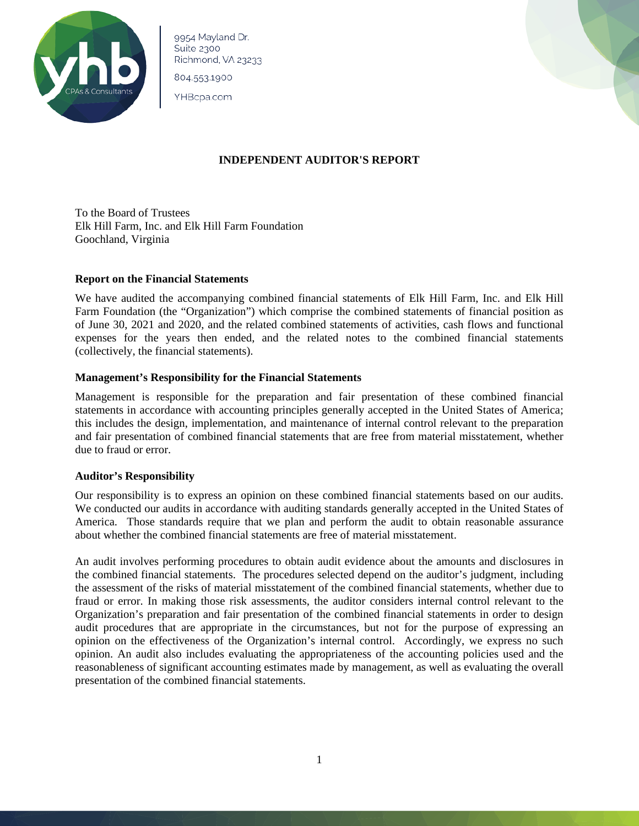

9954 Mayland Dr. Suite 2300 Richmond, VA 23233

804.553.1900

YHBcpa.com



### **INDEPENDENT AUDITOR'S REPORT**

To the Board of Trustees Elk Hill Farm, Inc. and Elk Hill Farm Foundation Goochland, Virginia

#### **Report on the Financial Statements**

We have audited the accompanying combined financial statements of Elk Hill Farm, Inc. and Elk Hill Farm Foundation (the "Organization") which comprise the combined statements of financial position as of June 30, 2021 and 2020, and the related combined statements of activities, cash flows and functional expenses for the years then ended, and the related notes to the combined financial statements (collectively, the financial statements).

#### **Management's Responsibility for the Financial Statements**

Management is responsible for the preparation and fair presentation of these combined financial statements in accordance with accounting principles generally accepted in the United States of America; this includes the design, implementation, and maintenance of internal control relevant to the preparation and fair presentation of combined financial statements that are free from material misstatement, whether due to fraud or error.

#### **Auditor's Responsibility**

Our responsibility is to express an opinion on these combined financial statements based on our audits. We conducted our audits in accordance with auditing standards generally accepted in the United States of America. Those standards require that we plan and perform the audit to obtain reasonable assurance about whether the combined financial statements are free of material misstatement.

An audit involves performing procedures to obtain audit evidence about the amounts and disclosures in the combined financial statements. The procedures selected depend on the auditor's judgment, including the assessment of the risks of material misstatement of the combined financial statements, whether due to fraud or error. In making those risk assessments, the auditor considers internal control relevant to the Organization's preparation and fair presentation of the combined financial statements in order to design audit procedures that are appropriate in the circumstances, but not for the purpose of expressing an opinion on the effectiveness of the Organization's internal control. Accordingly, we express no such opinion. An audit also includes evaluating the appropriateness of the accounting policies used and the reasonableness of significant accounting estimates made by management, as well as evaluating the overall presentation of the combined financial statements.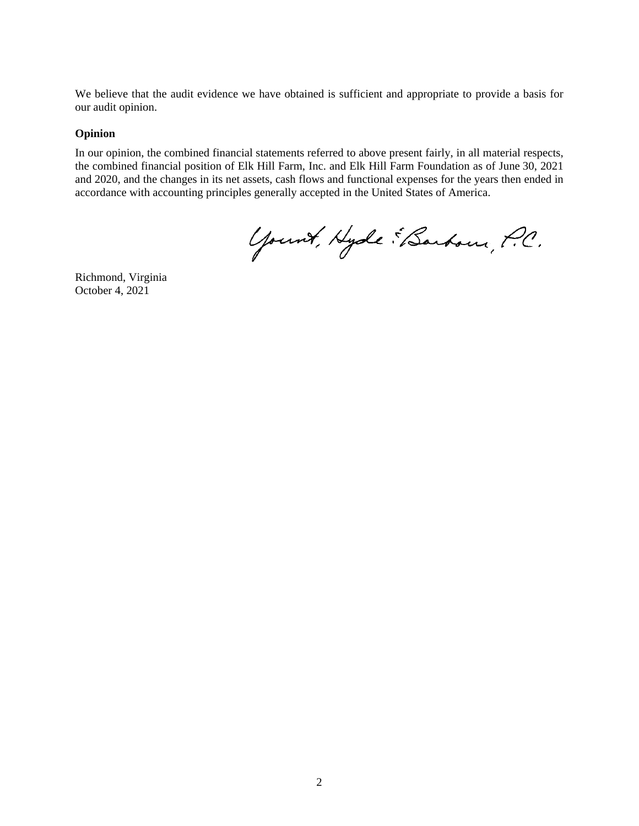We believe that the audit evidence we have obtained is sufficient and appropriate to provide a basis for our audit opinion.

#### **Opinion**

In our opinion, the combined financial statements referred to above present fairly, in all material respects, the combined financial position of Elk Hill Farm, Inc. and Elk Hill Farm Foundation as of June 30, 2021 and 2020, and the changes in its net assets, cash flows and functional expenses for the years then ended in accordance with accounting principles generally accepted in the United States of America.

Yount, Hyde EBarbour, P.C.

Richmond, Virginia October 4, 2021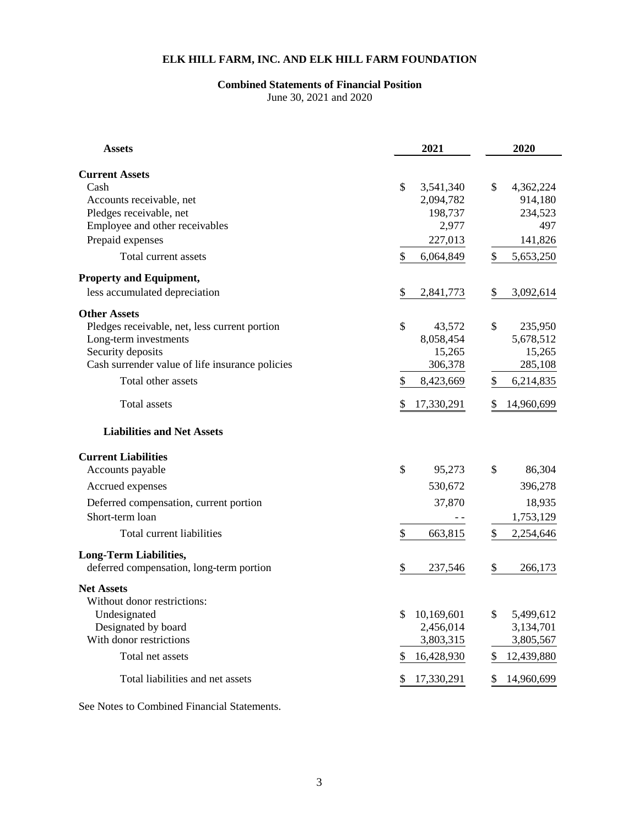# **Combined Statements of Financial Position**

June 30, 2021 and 2020

| <b>Assets</b>                                   | 2021                   | 2020                 |
|-------------------------------------------------|------------------------|----------------------|
|                                                 |                        |                      |
| <b>Current Assets</b><br>Cash                   | \$                     | \$                   |
| Accounts receivable, net                        | 3,541,340<br>2,094,782 | 4,362,224<br>914,180 |
| Pledges receivable, net                         | 198,737                | 234,523              |
| Employee and other receivables                  | 2,977                  | 497                  |
| Prepaid expenses                                | 227,013                | 141,826              |
| Total current assets                            | \$<br>6,064,849        | \$<br>5,653,250      |
| <b>Property and Equipment,</b>                  |                        |                      |
| less accumulated depreciation                   | \$<br>2,841,773        | \$<br>3,092,614      |
| <b>Other Assets</b>                             |                        |                      |
| Pledges receivable, net, less current portion   | \$<br>43,572           | \$<br>235,950        |
| Long-term investments                           | 8,058,454              | 5,678,512            |
| Security deposits                               | 15,265                 | 15,265               |
| Cash surrender value of life insurance policies | 306,378                | 285,108              |
| Total other assets                              | \$<br>8,423,669        | 6,214,835<br>\$      |
| Total assets                                    | \$<br>17,330,291       | 14,960,699<br>\$     |
| <b>Liabilities and Net Assets</b>               |                        |                      |
| <b>Current Liabilities</b>                      |                        |                      |
| Accounts payable                                | \$<br>95,273           | \$<br>86,304         |
| Accrued expenses                                | 530,672                | 396,278              |
| Deferred compensation, current portion          | 37,870                 | 18,935               |
| Short-term loan                                 |                        | 1,753,129            |
| Total current liabilities                       | \$<br>663,815          | \$<br>2,254,646      |
| <b>Long-Term Liabilities,</b>                   |                        |                      |
| deferred compensation, long-term portion        | \$<br>237,546          | \$<br>266,173        |
| <b>Net Assets</b>                               |                        |                      |
| Without donor restrictions:                     |                        |                      |
| Undesignated                                    | \$<br>10,169,601       | \$<br>5,499,612      |
| Designated by board                             | 2,456,014              | 3,134,701            |
| With donor restrictions                         | 3,803,315              | 3,805,567            |
| Total net assets                                | 16,428,930<br>\$       | \$<br>12,439,880     |
| Total liabilities and net assets                | 17,330,291<br>\$       | \$<br>14,960,699     |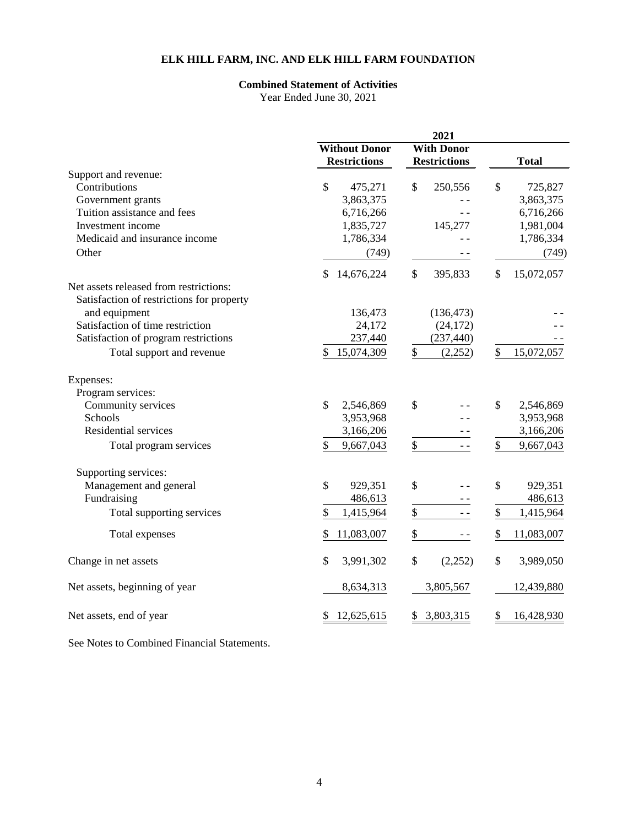### **Combined Statement of Activities**

Year Ended June 30, 2021

|                                           | <b>Without Donor</b><br><b>With Donor</b> |                            |                             |  |
|-------------------------------------------|-------------------------------------------|----------------------------|-----------------------------|--|
|                                           | <b>Restrictions</b>                       | <b>Restrictions</b>        | <b>Total</b>                |  |
| Support and revenue:                      |                                           |                            |                             |  |
| Contributions                             | \$<br>475,271                             | \$<br>250,556              | \$<br>725,827               |  |
| Government grants                         | 3,863,375                                 |                            | 3,863,375                   |  |
| Tuition assistance and fees               | 6,716,266                                 |                            | 6,716,266                   |  |
| Investment income                         | 1,835,727                                 | 145,277                    | 1,981,004                   |  |
| Medicaid and insurance income             | 1,786,334                                 |                            | 1,786,334                   |  |
| Other                                     | (749)                                     |                            | (749)                       |  |
|                                           | 14,676,224<br>\$                          | \$<br>395,833              | $\mathcal{S}$<br>15,072,057 |  |
| Net assets released from restrictions:    |                                           |                            |                             |  |
| Satisfaction of restrictions for property |                                           |                            |                             |  |
| and equipment                             | 136,473                                   | (136, 473)                 |                             |  |
| Satisfaction of time restriction          | 24,172                                    | (24, 172)                  |                             |  |
| Satisfaction of program restrictions      | 237,440                                   | (237, 440)                 |                             |  |
| Total support and revenue                 | \$<br>15,074,309                          | $\$$<br>(2,252)            | \$<br>15,072,057            |  |
| Expenses:                                 |                                           |                            |                             |  |
| Program services:                         |                                           |                            |                             |  |
| Community services                        | \$<br>2,546,869                           | \$                         | \$<br>2,546,869             |  |
| Schools                                   | 3,953,968                                 |                            | 3,953,968                   |  |
| Residential services                      | 3,166,206                                 |                            | 3,166,206                   |  |
| Total program services                    | \$<br>9,667,043                           | \$<br>$ -$                 | \$<br>9,667,043             |  |
| Supporting services:                      |                                           |                            |                             |  |
| Management and general                    | \$<br>929,351                             | \$                         | \$<br>929,351               |  |
| Fundraising                               | 486,613                                   |                            | 486,613                     |  |
| Total supporting services                 | \$<br>1,415,964                           | $\boldsymbol{\$}$<br>$- -$ | \$<br>1,415,964             |  |
| Total expenses                            | \$<br>11,083,007                          | \$<br>$ -$                 | \$<br>11,083,007            |  |
| Change in net assets                      | \$<br>3,991,302                           | \$<br>(2,252)              | \$<br>3,989,050             |  |
|                                           |                                           |                            |                             |  |
| Net assets, beginning of year             | 8,634,313                                 | 3,805,567                  | 12,439,880                  |  |
| Net assets, end of year                   | 12,625,615<br>\$                          | 3,803,315<br>\$            | \$<br>16,428,930            |  |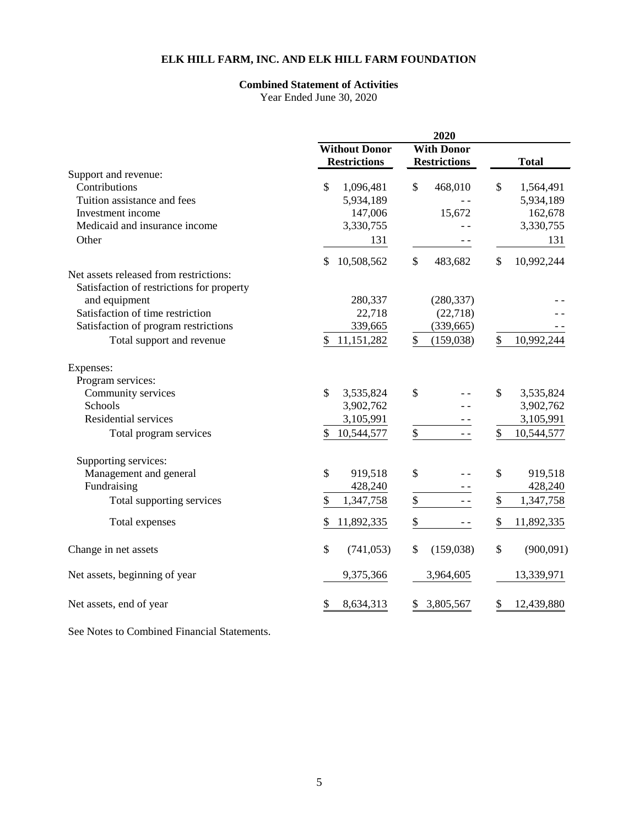### **Combined Statement of Activities**

Year Ended June 30, 2020

|                                           | <b>Without Donor</b><br><b>With Donor</b> |                     |                             |  |
|-------------------------------------------|-------------------------------------------|---------------------|-----------------------------|--|
|                                           | <b>Restrictions</b>                       | <b>Restrictions</b> | <b>Total</b>                |  |
| Support and revenue:                      |                                           |                     |                             |  |
| Contributions                             | \$<br>1,096,481                           | \$<br>468,010       | \$<br>1,564,491             |  |
| Tuition assistance and fees               | 5,934,189                                 |                     | 5,934,189                   |  |
| Investment income                         | 147,006                                   | 15,672              | 162,678                     |  |
| Medicaid and insurance income             | 3,330,755                                 |                     | 3,330,755                   |  |
| Other                                     | 131                                       |                     | 131                         |  |
|                                           | \$<br>10,508,562                          | \$<br>483,682       | \$<br>10,992,244            |  |
| Net assets released from restrictions:    |                                           |                     |                             |  |
| Satisfaction of restrictions for property |                                           |                     |                             |  |
| and equipment                             | 280,337                                   | (280, 337)          |                             |  |
| Satisfaction of time restriction          | 22,718                                    | (22, 718)           |                             |  |
| Satisfaction of program restrictions      | 339,665                                   | (339, 665)          |                             |  |
| Total support and revenue                 | 11,151,282<br>\$                          | \$<br>(159, 038)    | \$<br>10,992,244            |  |
| Expenses:                                 |                                           |                     |                             |  |
| Program services:                         |                                           |                     |                             |  |
| Community services                        | \$<br>3,535,824                           | \$                  | \$<br>3,535,824             |  |
| Schools                                   | 3,902,762                                 |                     | 3,902,762                   |  |
| Residential services                      | 3,105,991                                 |                     | 3,105,991                   |  |
| Total program services                    | 10,544,577<br>\$                          | \$<br>$ -$          | $\mathcal{S}$<br>10,544,577 |  |
|                                           |                                           |                     |                             |  |
| Supporting services:                      |                                           |                     |                             |  |
| Management and general                    | \$<br>919,518                             | \$                  | \$<br>919,518               |  |
| Fundraising                               | 428,240                                   |                     | 428,240                     |  |
| Total supporting services                 | \$<br>1,347,758                           | $\$$<br>$ -$        | \$<br>1,347,758             |  |
| Total expenses                            | \$<br>11,892,335                          | \$<br>$ -$          | \$<br>11,892,335            |  |
| Change in net assets                      | \$<br>(741, 053)                          | \$<br>(159, 038)    | \$<br>(900, 091)            |  |
| Net assets, beginning of year             | 9,375,366                                 | 3,964,605           | 13,339,971                  |  |
| Net assets, end of year                   | \$<br>8,634,313                           | 3,805,567<br>\$     | \$<br>12,439,880            |  |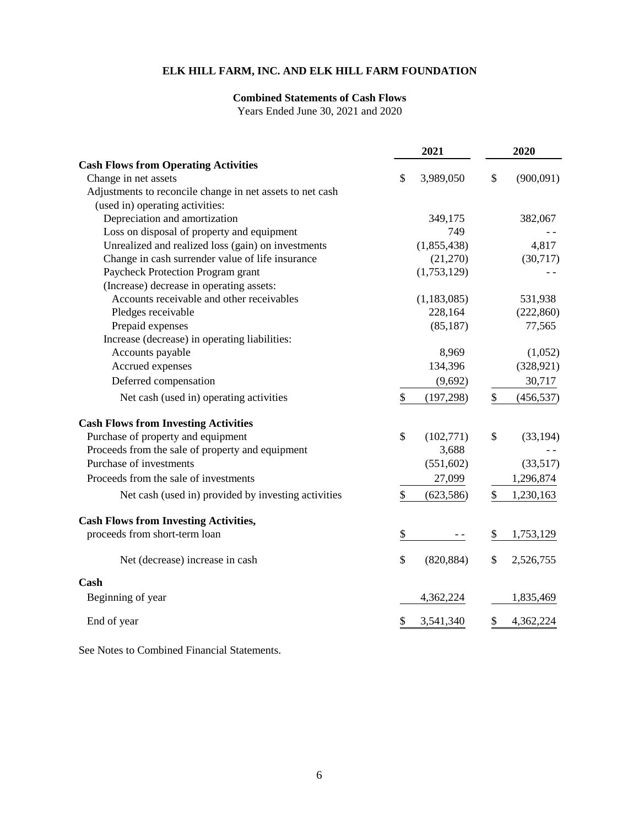### **Combined Statements of Cash Flows**

Years Ended June 30, 2021 and 2020

|                                                           | 2021               | 2020             |
|-----------------------------------------------------------|--------------------|------------------|
| <b>Cash Flows from Operating Activities</b>               |                    |                  |
| Change in net assets                                      | \$<br>3,989,050    | \$<br>(900,091)  |
| Adjustments to reconcile change in net assets to net cash |                    |                  |
| (used in) operating activities:                           |                    |                  |
| Depreciation and amortization                             | 349,175            | 382,067          |
| Loss on disposal of property and equipment                | 749                |                  |
| Unrealized and realized loss (gain) on investments        | (1,855,438)        | 4,817            |
| Change in cash surrender value of life insurance          | (21,270)           | (30,717)         |
| Paycheck Protection Program grant                         | (1,753,129)        |                  |
| (Increase) decrease in operating assets:                  |                    |                  |
| Accounts receivable and other receivables                 | (1, 183, 085)      | 531,938          |
| Pledges receivable                                        | 228,164            | (222, 860)       |
| Prepaid expenses                                          | (85, 187)          | 77,565           |
| Increase (decrease) in operating liabilities:             |                    |                  |
| Accounts payable                                          | 8,969              | (1,052)          |
| Accrued expenses                                          | 134,396            | (328, 921)       |
| Deferred compensation                                     | (9,692)            | 30,717           |
| Net cash (used in) operating activities                   | \$<br>(197, 298)   | \$<br>(456, 537) |
| <b>Cash Flows from Investing Activities</b>               |                    |                  |
| Purchase of property and equipment                        | \$<br>(102, 771)   | \$<br>(33, 194)  |
| Proceeds from the sale of property and equipment          | 3,688              |                  |
| Purchase of investments                                   | (551, 602)         | (33,517)         |
| Proceeds from the sale of investments                     | 27,099             | 1,296,874        |
| Net cash (used in) provided by investing activities       | \$<br>(623, 586)   | \$<br>1,230,163  |
| <b>Cash Flows from Investing Activities,</b>              |                    |                  |
| proceeds from short-term loan                             | \$                 | 1,753,129<br>\$  |
| Net (decrease) increase in cash                           | $\$$<br>(820, 884) | \$<br>2,526,755  |
| Cash                                                      |                    |                  |
| Beginning of year                                         | 4,362,224          | 1,835,469        |
| End of year                                               | 3,541,340<br>S     | 4,362,224<br>S.  |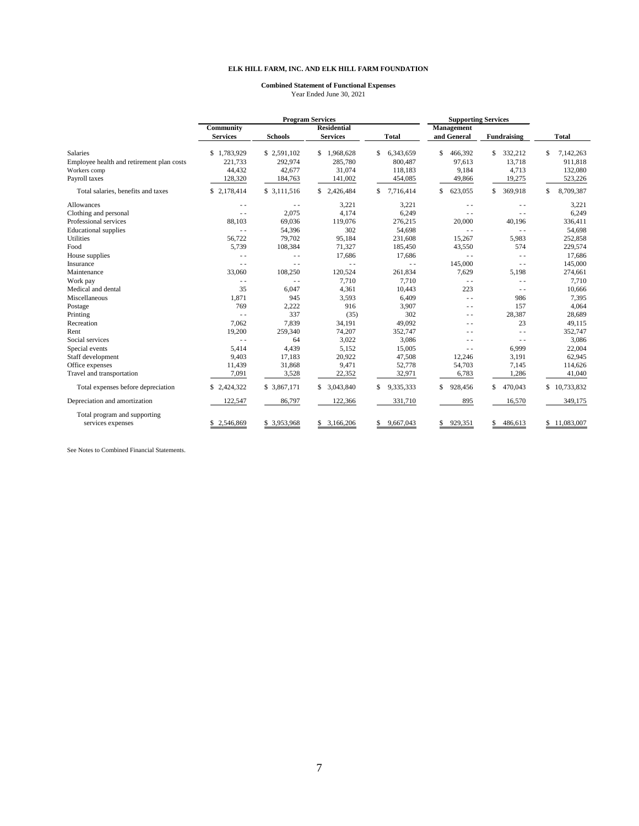#### **Combined Statement of Functional Expenses** Year Ended June 30, 2021

|                                           | <b>Program Services</b>         |                | <b>Supporting Services</b> |                 |               |               |                 |
|-------------------------------------------|---------------------------------|----------------|----------------------------|-----------------|---------------|---------------|-----------------|
|                                           | Community<br><b>Residential</b> |                |                            | Management      |               |               |                 |
|                                           | <b>Services</b>                 | <b>Schools</b> | <b>Services</b>            | Total           | and General   | Fundraising   | <b>Total</b>    |
| <b>Salaries</b>                           | \$1,783,929                     | \$2,591,102    | \$1,968,628                | 6,343,659<br>S  | \$<br>466,392 | 332,212<br>\$ | 7,142,263<br>\$ |
| Employee health and retirement plan costs | 221,733                         | 292,974        | 285,780                    | 800,487         | 97,613        | 13,718        | 911,818         |
| Workers comp                              | 44,432                          | 42,677         | 31,074                     | 118,183         | 9,184         | 4,713         | 132,080         |
| Payroll taxes                             | 128,320                         | 184,763        | 141,002                    | 454,085         | 49,866        | 19,275        | 523,226         |
| Total salaries, benefits and taxes        | \$2,178,414                     | \$ 3,111,516   | \$2,426,484                | 7,716,414       | 623,055<br>\$ | 369,918<br>\$ | 8,709,387<br>\$ |
| Allowances                                | $\sim$                          | $\sim$ $-$     | 3,221                      | 3,221           | $\sim$ $\sim$ | $\sim$ $\sim$ | 3,221           |
| Clothing and personal                     | $\sim$                          | 2,075          | 4,174                      | 6,249           | $\sim$ $\sim$ | $\sim$ $\sim$ | 6,249           |
| Professional services                     | 88,103                          | 69,036         | 119,076                    | 276,215         | 20,000        | 40,196        | 336,411         |
| <b>Educational</b> supplies               | $-$                             | 54,396         | 302                        | 54,698          | $\sim$ $\sim$ | $\sim$ $\sim$ | 54,698          |
| Utilities                                 | 56,722                          | 79,702         | 95,184                     | 231,608         | 15,267        | 5,983         | 252,858         |
| Food                                      | 5,739                           | 108,384        | 71.327                     | 185,450         | 43,550        | 574           | 229,574         |
| House supplies                            | $\sim$                          | $\sim$ $\sim$  | 17,686                     | 17,686          | $\sim$ $\sim$ | $\sim$ $\sim$ | 17,686          |
| Insurance                                 | $\sim$                          | $ -$           | $ -$                       | $\sim$ $\sim$   | 145,000       | $ -$          | 145,000         |
| Maintenance                               | 33,060                          | 108,250        | 120,524                    | 261,834         | 7,629         | 5,198         | 274,661         |
| Work pay                                  | $\sim$                          | $\sim$ $\sim$  | 7,710                      | 7,710           | $\sim$ $\sim$ | $\sim$ $\sim$ | 7,710           |
| Medical and dental                        | 35                              | 6,047          | 4,361                      | 10,443          | 223           | $\sim$ $\sim$ | 10,666          |
| Miscellaneous                             | 1,871                           | 945            | 3,593                      | 6,409           | $\sim$ $\sim$ | 986           | 7,395           |
| Postage                                   | 769                             | 2,222          | 916                        | 3,907           | $\sim$ $\sim$ | 157           | 4,064           |
| Printing                                  | $-$                             | 337            | (35)                       | 302             | $\sim$ $\sim$ | 28,387        | 28,689          |
| Recreation                                | 7,062                           | 7,839          | 34,191                     | 49,092          | $\sim$ $\sim$ | 23            | 49,115          |
| Rent                                      | 19,200                          | 259,340        | 74,207                     | 352,747         | - -           | $ -$          | 352,747         |
| Social services                           | $\sim$                          | 64             | 3,022                      | 3,086           | $ -$          | $\sim$ $\sim$ | 3,086           |
| Special events                            | 5,414                           | 4,439          | 5.152                      | 15,005          | $\sim$ $\sim$ | 6,999         | 22,004          |
| Staff development                         | 9,403                           | 17,183         | 20,922                     | 47,508          | 12,246        | 3,191         | 62,945          |
| Office expenses                           | 11,439                          | 31,868         | 9,471                      | 52,778          | 54,703        | 7,145         | 114,626         |
| Travel and transportation                 | 7,091                           | 3,528          | 22,352                     | 32,971          | 6,783         | 1,286         | 41,040          |
| Total expenses before depreciation        | \$2,424,322                     | \$ 3,867,171   | \$ 3,043,840               | 9,335,333<br>S  | \$<br>928,456 | \$<br>470,043 | \$10,733,832    |
| Depreciation and amortization             | 122,547                         | 86,797         | 122,366                    | 331,710         | 895           | 16,570        | 349,175         |
| Total program and supporting              |                                 |                |                            |                 |               |               |                 |
| services expenses                         | 2,546,869                       | \$3,953,968    | \$3,166,206                | 9,667,043<br>\$ | \$<br>929,351 | \$<br>486,613 | \$11,083,007    |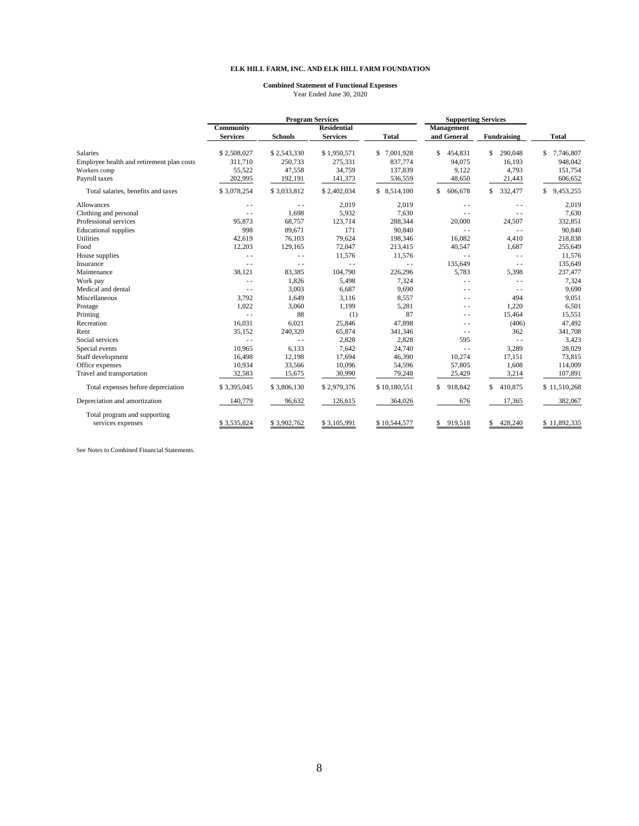#### **Combined Statement of Functional Expenses** Year Ended June 30, 2020

|                                           | <b>Program Services</b>         |                |                 | <b>Supporting Services</b> |               |                |                  |
|-------------------------------------------|---------------------------------|----------------|-----------------|----------------------------|---------------|----------------|------------------|
|                                           | Community<br><b>Residential</b> |                | Management      |                            |               |                |                  |
|                                           | <b>Services</b>                 | <b>Schools</b> | <b>Services</b> | <b>Total</b>               | and General   | Fundraising    | Total            |
| <b>Salaries</b>                           | \$2,508,027                     | \$2,543,330    | \$1,950,571     | \$7,001,928                | 454,831<br>S  | 290,048<br>\$  | 7,746,807<br>\$  |
| Employee health and retirement plan costs | 311.710                         | 250,733        | 275,331         | 837,774                    | 94,075        | 16,193         | 948,042          |
| Workers comp                              | 55,522                          | 47,558         | 34,759          | 137,839                    | 9,122         | 4,793          | 151,754          |
| Payroll taxes                             | 202,995                         | 192,191        | 141,373         | 536,559                    | 48,650        | 21,443         | 606,652          |
| Total salaries, benefits and taxes        | \$3,078,254                     | \$3,033,812    | \$2,402,034     | \$ 8,514,100               | 606,678<br>S  | 332,477<br>\$  | 9,453,255<br>\$. |
| Allowances                                | $ -$                            | $ -$           | 2,019           | 2,019                      | $ -$          | $ -$           | 2,019            |
| Clothing and personal                     | $ -$                            | 1,698          | 5,932           | 7,630                      | - -           | - -            | 7,630            |
| Professional services                     | 95,873                          | 68,757         | 123,714         | 288,344                    | 20,000        | 24,507         | 332,851          |
| <b>Educational</b> supplies               | 998                             | 89,671         | 171             | 90,840                     | $\sim$ $\sim$ | $\sim$ $\sim$  | 90,840           |
| Utilities                                 | 42,619                          | 76,103         | 79,624          | 198,346                    | 16,082        | 4,410          | 218,838          |
| Food                                      | 12,203                          | 129,165        | 72,047          | 213,415                    | 40,547        | 1,687          | 255,649          |
| House supplies                            | $\frac{1}{2}$                   | $\frac{1}{2}$  | 11,576          | 11,576                     | $\sim$ $\sim$ | $\sim$         | 11,576           |
| Insurance                                 | $\sim$ $\sim$                   | $\frac{1}{2}$  | $\sim$ $\sim$   | $-$                        | 135,649       | $\frac{1}{2}$  | 135,649          |
| Maintenance                               | 38,121                          | 83,385         | 104,790         | 226,296                    | 5,783         | 5,398          | 237,477          |
| Work pay                                  | $\sim$ $\sim$                   | 1,826          | 5,498           | 7,324                      | $ -$          | $\sim$         | 7,324            |
| Medical and dental                        | $\sim$ $\sim$                   | 3,003          | 6,687           | 9,690                      | - -           | $ -$           | 9,690            |
| Miscellaneous                             | 3,792                           | 1,649          | 3,116           | 8,557                      | - -           | 494            | 9,051            |
| Postage                                   | 1,022                           | 3,060          | 1,199           | 5,281                      | - -           | 1,220          | 6,501            |
| Printing                                  | $\sim$ $\sim$                   | 88             | (1)             | 87                         | - -           | 15,464         | 15,551           |
| Recreation                                | 16,031                          | 6,021          | 25,846          | 47,898                     | - -           | (406)          | 47,492           |
| Rent                                      | 35,152                          | 240,320        | 65,874          | 341,346                    | $\sim$ $\sim$ | 362            | 341,708          |
| Social services                           | $\sim$ $\sim$                   | $\sim$         | 2,828           | 2,828                      | 595           | $\sim$ $\sim$  | 3,423            |
| Special events                            | 10,965                          | 6,133          | 7,642           | 24,740                     | $\sim$ $\sim$ | 3,289          | 28,029           |
| Staff development                         | 16,498                          | 12,198         | 17,694          | 46,390                     | 10,274        | 17,151         | 73,815           |
| Office expenses                           | 10,934                          | 33,566         | 10,096          | 54,596                     | 57,805        | 1,608          | 114,009          |
| Travel and transportation                 | 32,583                          | 15,675         | 30,990          | 79,248                     | 25,429        | 3,214          | 107,891          |
| Total expenses before depreciation        | \$3,395,045                     | \$3,806,130    | \$2,979,376     | \$10,180,551               | 918,842<br>S. | \$<br>410,875  | \$11,510,268     |
| Depreciation and amortization             | 140,779                         | 96,632         | 126,615         | 364,026                    | 676           | 17,365         | 382,067          |
| Total program and supporting              |                                 |                |                 |                            |               |                |                  |
| services expenses                         | \$3,535,824                     | \$3,902,762    | \$3,105,991     | \$10,544,577               | 919,518<br>S. | 428,240<br>\$. | \$11,892,335     |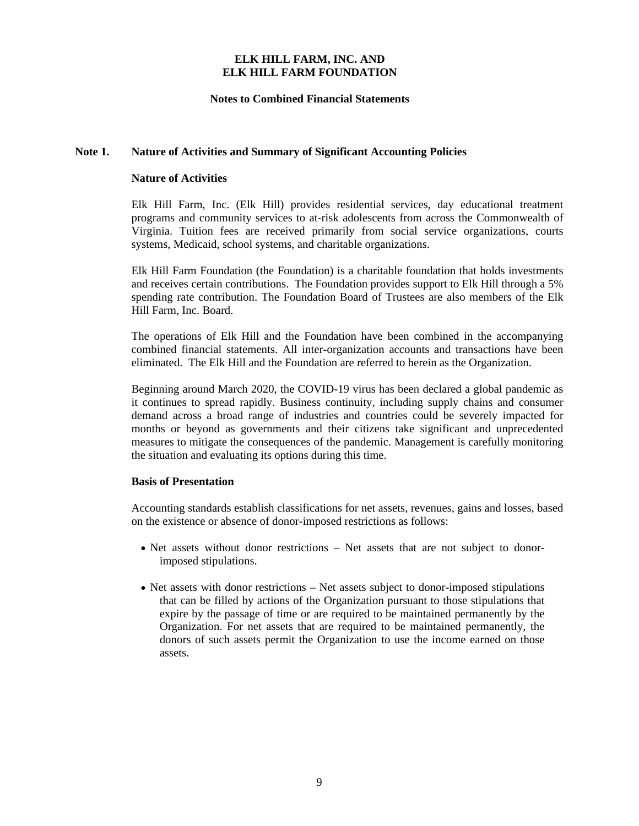### **Notes to Combined Financial Statements**

#### **Note 1. Nature of Activities and Summary of Significant Accounting Policies**

#### **Nature of Activities**

Elk Hill Farm, Inc. (Elk Hill) provides residential services, day educational treatment programs and community services to at-risk adolescents from across the Commonwealth of Virginia. Tuition fees are received primarily from social service organizations, courts systems, Medicaid, school systems, and charitable organizations.

Elk Hill Farm Foundation (the Foundation) is a charitable foundation that holds investments and receives certain contributions. The Foundation provides support to Elk Hill through a 5% spending rate contribution. The Foundation Board of Trustees are also members of the Elk Hill Farm, Inc. Board.

The operations of Elk Hill and the Foundation have been combined in the accompanying combined financial statements. All inter-organization accounts and transactions have been eliminated. The Elk Hill and the Foundation are referred to herein as the Organization.

Beginning around March 2020, the COVID-19 virus has been declared a global pandemic as it continues to spread rapidly. Business continuity, including supply chains and consumer demand across a broad range of industries and countries could be severely impacted for months or beyond as governments and their citizens take significant and unprecedented measures to mitigate the consequences of the pandemic. Management is carefully monitoring the situation and evaluating its options during this time.

#### **Basis of Presentation**

Accounting standards establish classifications for net assets, revenues, gains and losses, based on the existence or absence of donor-imposed restrictions as follows:

- Net assets without donor restrictions Net assets that are not subject to donorimposed stipulations.
- Net assets with donor restrictions Net assets subject to donor-imposed stipulations that can be filled by actions of the Organization pursuant to those stipulations that expire by the passage of time or are required to be maintained permanently by the Organization. For net assets that are required to be maintained permanently, the donors of such assets permit the Organization to use the income earned on those assets.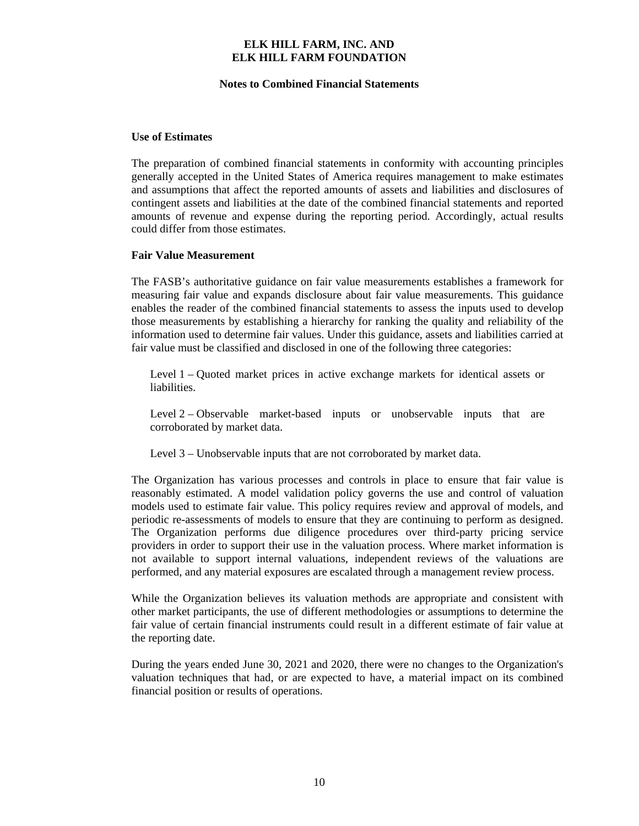#### **Notes to Combined Financial Statements**

#### **Use of Estimates**

The preparation of combined financial statements in conformity with accounting principles generally accepted in the United States of America requires management to make estimates and assumptions that affect the reported amounts of assets and liabilities and disclosures of contingent assets and liabilities at the date of the combined financial statements and reported amounts of revenue and expense during the reporting period. Accordingly, actual results could differ from those estimates.

#### **Fair Value Measurement**

The FASB's authoritative guidance on fair value measurements establishes a framework for measuring fair value and expands disclosure about fair value measurements. This guidance enables the reader of the combined financial statements to assess the inputs used to develop those measurements by establishing a hierarchy for ranking the quality and reliability of the information used to determine fair values. Under this guidance, assets and liabilities carried at fair value must be classified and disclosed in one of the following three categories:

Level 1 – Quoted market prices in active exchange markets for identical assets or liabilities.

Level 2 – Observable market-based inputs or unobservable inputs that are corroborated by market data.

Level 3 – Unobservable inputs that are not corroborated by market data.

The Organization has various processes and controls in place to ensure that fair value is reasonably estimated. A model validation policy governs the use and control of valuation models used to estimate fair value. This policy requires review and approval of models, and periodic re-assessments of models to ensure that they are continuing to perform as designed. The Organization performs due diligence procedures over third-party pricing service providers in order to support their use in the valuation process. Where market information is not available to support internal valuations, independent reviews of the valuations are performed, and any material exposures are escalated through a management review process.

While the Organization believes its valuation methods are appropriate and consistent with other market participants, the use of different methodologies or assumptions to determine the fair value of certain financial instruments could result in a different estimate of fair value at the reporting date.

During the years ended June 30, 2021 and 2020, there were no changes to the Organization's valuation techniques that had, or are expected to have, a material impact on its combined financial position or results of operations.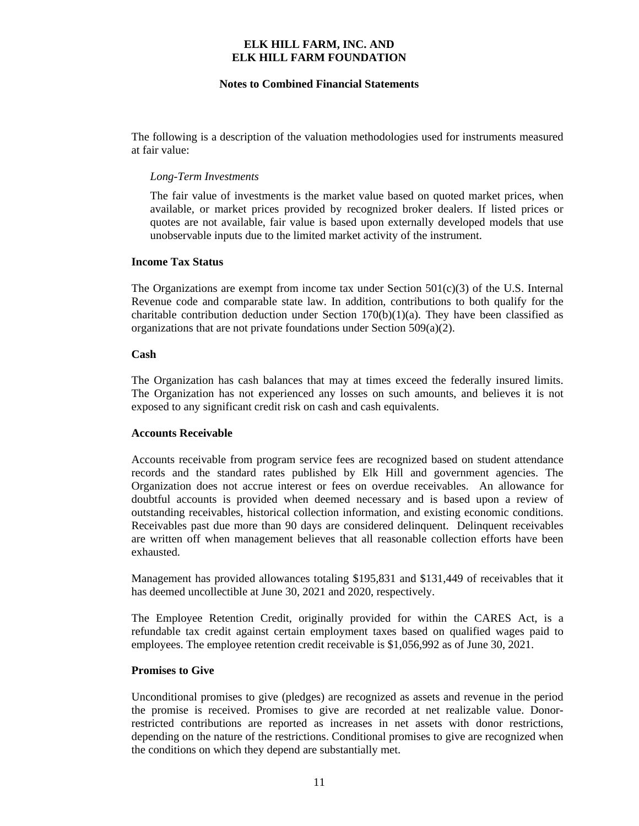#### **Notes to Combined Financial Statements**

The following is a description of the valuation methodologies used for instruments measured at fair value:

#### *Long-Term Investments*

The fair value of investments is the market value based on quoted market prices, when available, or market prices provided by recognized broker dealers. If listed prices or quotes are not available, fair value is based upon externally developed models that use unobservable inputs due to the limited market activity of the instrument.

#### **Income Tax Status**

The Organizations are exempt from income tax under Section  $501(c)(3)$  of the U.S. Internal Revenue code and comparable state law. In addition, contributions to both qualify for the charitable contribution deduction under Section  $170(b)(1)(a)$ . They have been classified as organizations that are not private foundations under Section 509(a)(2).

#### **Cash**

The Organization has cash balances that may at times exceed the federally insured limits. The Organization has not experienced any losses on such amounts, and believes it is not exposed to any significant credit risk on cash and cash equivalents.

#### **Accounts Receivable**

Accounts receivable from program service fees are recognized based on student attendance records and the standard rates published by Elk Hill and government agencies. The Organization does not accrue interest or fees on overdue receivables. An allowance for doubtful accounts is provided when deemed necessary and is based upon a review of outstanding receivables, historical collection information, and existing economic conditions. Receivables past due more than 90 days are considered delinquent. Delinquent receivables are written off when management believes that all reasonable collection efforts have been exhausted.

Management has provided allowances totaling \$195,831 and \$131,449 of receivables that it has deemed uncollectible at June 30, 2021 and 2020, respectively.

The Employee Retention Credit, originally provided for within the CARES Act, is a refundable tax credit against certain employment taxes based on qualified wages paid to employees. The employee retention credit receivable is \$1,056,992 as of June 30, 2021.

#### **Promises to Give**

Unconditional promises to give (pledges) are recognized as assets and revenue in the period the promise is received. Promises to give are recorded at net realizable value. Donorrestricted contributions are reported as increases in net assets with donor restrictions, depending on the nature of the restrictions. Conditional promises to give are recognized when the conditions on which they depend are substantially met.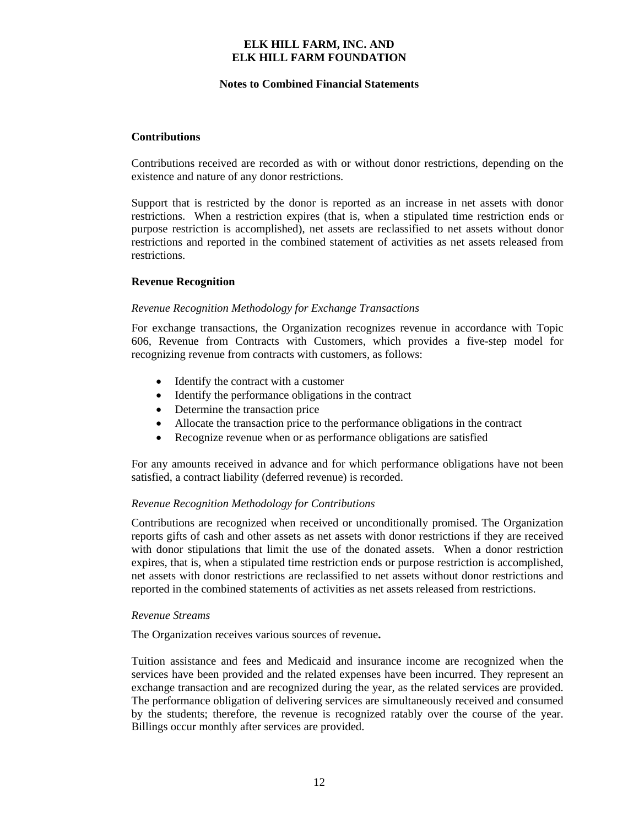#### **Notes to Combined Financial Statements**

#### **Contributions**

Contributions received are recorded as with or without donor restrictions, depending on the existence and nature of any donor restrictions.

Support that is restricted by the donor is reported as an increase in net assets with donor restrictions. When a restriction expires (that is, when a stipulated time restriction ends or purpose restriction is accomplished), net assets are reclassified to net assets without donor restrictions and reported in the combined statement of activities as net assets released from restrictions.

#### **Revenue Recognition**

#### *Revenue Recognition Methodology for Exchange Transactions*

For exchange transactions, the Organization recognizes revenue in accordance with Topic 606, Revenue from Contracts with Customers, which provides a five-step model for recognizing revenue from contracts with customers, as follows:

- Identify the contract with a customer
- Identify the performance obligations in the contract
- Determine the transaction price
- Allocate the transaction price to the performance obligations in the contract
- Recognize revenue when or as performance obligations are satisfied

For any amounts received in advance and for which performance obligations have not been satisfied, a contract liability (deferred revenue) is recorded.

#### *Revenue Recognition Methodology for Contributions*

Contributions are recognized when received or unconditionally promised. The Organization reports gifts of cash and other assets as net assets with donor restrictions if they are received with donor stipulations that limit the use of the donated assets. When a donor restriction expires, that is, when a stipulated time restriction ends or purpose restriction is accomplished, net assets with donor restrictions are reclassified to net assets without donor restrictions and reported in the combined statements of activities as net assets released from restrictions.

#### *Revenue Streams*

The Organization receives various sources of revenue**.**

Tuition assistance and fees and Medicaid and insurance income are recognized when the services have been provided and the related expenses have been incurred. They represent an exchange transaction and are recognized during the year, as the related services are provided. The performance obligation of delivering services are simultaneously received and consumed by the students; therefore, the revenue is recognized ratably over the course of the year. Billings occur monthly after services are provided.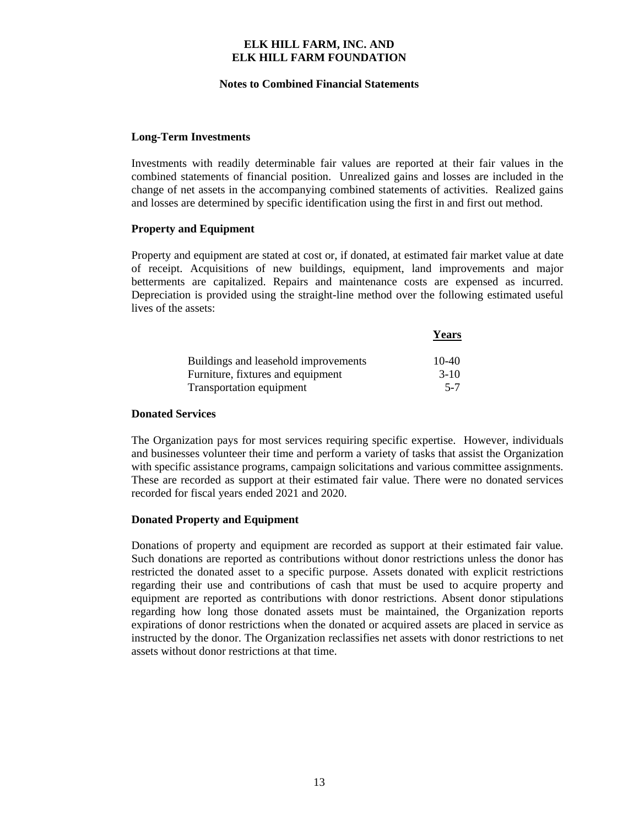#### **Notes to Combined Financial Statements**

#### **Long-Term Investments**

Investments with readily determinable fair values are reported at their fair values in the combined statements of financial position. Unrealized gains and losses are included in the change of net assets in the accompanying combined statements of activities. Realized gains and losses are determined by specific identification using the first in and first out method.

#### **Property and Equipment**

Property and equipment are stated at cost or, if donated, at estimated fair market value at date of receipt. Acquisitions of new buildings, equipment, land improvements and major betterments are capitalized. Repairs and maintenance costs are expensed as incurred. Depreciation is provided using the straight-line method over the following estimated useful lives of the assets:

|                                      | <b>Years</b> |
|--------------------------------------|--------------|
| Buildings and leasehold improvements | $10-40$      |
| Furniture, fixtures and equipment    | $3-10$       |
| Transportation equipment             | $5 - 7$      |

#### **Donated Services**

The Organization pays for most services requiring specific expertise. However, individuals and businesses volunteer their time and perform a variety of tasks that assist the Organization with specific assistance programs, campaign solicitations and various committee assignments. These are recorded as support at their estimated fair value. There were no donated services recorded for fiscal years ended 2021 and 2020.

#### **Donated Property and Equipment**

Donations of property and equipment are recorded as support at their estimated fair value. Such donations are reported as contributions without donor restrictions unless the donor has restricted the donated asset to a specific purpose. Assets donated with explicit restrictions regarding their use and contributions of cash that must be used to acquire property and equipment are reported as contributions with donor restrictions. Absent donor stipulations regarding how long those donated assets must be maintained, the Organization reports expirations of donor restrictions when the donated or acquired assets are placed in service as instructed by the donor. The Organization reclassifies net assets with donor restrictions to net assets without donor restrictions at that time.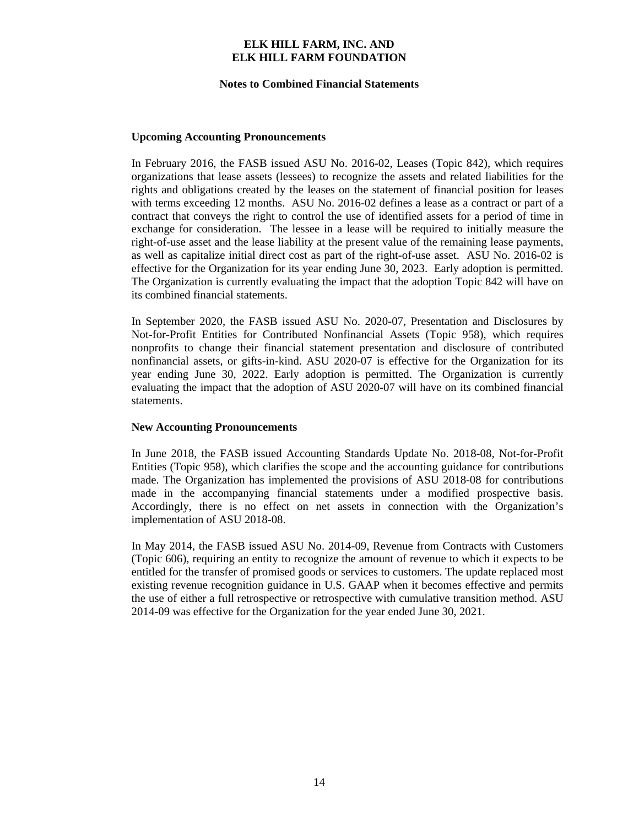#### **Notes to Combined Financial Statements**

#### **Upcoming Accounting Pronouncements**

In February 2016, the FASB issued ASU No. 2016-02, Leases (Topic 842), which requires organizations that lease assets (lessees) to recognize the assets and related liabilities for the rights and obligations created by the leases on the statement of financial position for leases with terms exceeding 12 months. ASU No. 2016-02 defines a lease as a contract or part of a contract that conveys the right to control the use of identified assets for a period of time in exchange for consideration. The lessee in a lease will be required to initially measure the right-of-use asset and the lease liability at the present value of the remaining lease payments, as well as capitalize initial direct cost as part of the right-of-use asset. ASU No. 2016-02 is effective for the Organization for its year ending June 30, 2023. Early adoption is permitted. The Organization is currently evaluating the impact that the adoption Topic 842 will have on its combined financial statements.

In September 2020, the FASB issued ASU No. 2020-07, Presentation and Disclosures by Not-for-Profit Entities for Contributed Nonfinancial Assets (Topic 958), which requires nonprofits to change their financial statement presentation and disclosure of contributed nonfinancial assets, or gifts-in-kind. ASU 2020-07 is effective for the Organization for its year ending June 30, 2022. Early adoption is permitted. The Organization is currently evaluating the impact that the adoption of ASU 2020-07 will have on its combined financial statements.

#### **New Accounting Pronouncements**

In June 2018, the FASB issued Accounting Standards Update No. 2018-08, Not-for-Profit Entities (Topic 958), which clarifies the scope and the accounting guidance for contributions made. The Organization has implemented the provisions of ASU 2018-08 for contributions made in the accompanying financial statements under a modified prospective basis. Accordingly, there is no effect on net assets in connection with the Organization's implementation of ASU 2018-08.

In May 2014, the FASB issued ASU No. 2014-09, Revenue from Contracts with Customers (Topic 606), requiring an entity to recognize the amount of revenue to which it expects to be entitled for the transfer of promised goods or services to customers. The update replaced most existing revenue recognition guidance in U.S. GAAP when it becomes effective and permits the use of either a full retrospective or retrospective with cumulative transition method. ASU 2014-09 was effective for the Organization for the year ended June 30, 2021.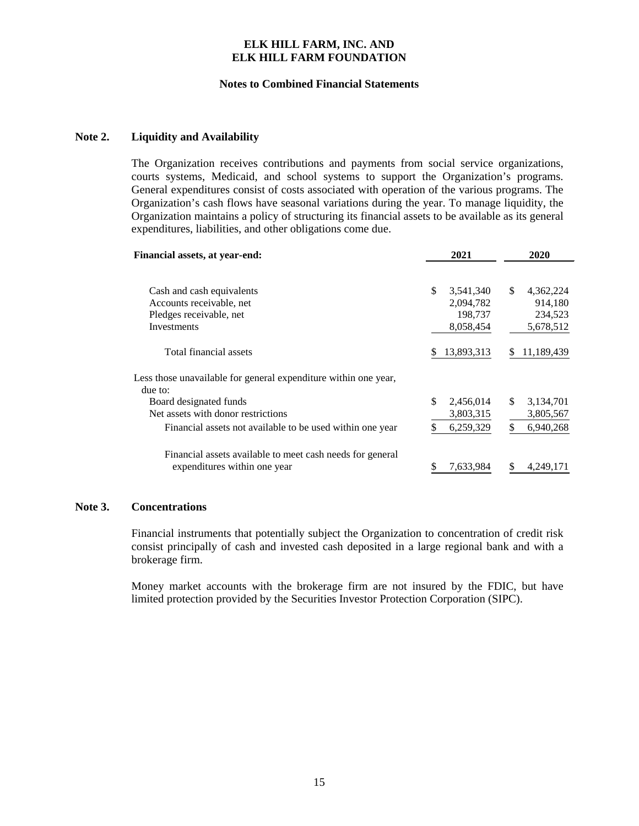#### **Notes to Combined Financial Statements**

#### **Note 2. Liquidity and Availability**

The Organization receives contributions and payments from social service organizations, courts systems, Medicaid, and school systems to support the Organization's programs. General expenditures consist of costs associated with operation of the various programs. The Organization's cash flows have seasonal variations during the year. To manage liquidity, the Organization maintains a policy of structuring its financial assets to be available as its general expenditures, liabilities, and other obligations come due.

| Financial assets, at year-end:                                             |    | 2021       |     | 2020       |
|----------------------------------------------------------------------------|----|------------|-----|------------|
| Cash and cash equivalents                                                  | \$ | 3,541,340  | \$. | 4,362,224  |
| Accounts receivable, net                                                   |    | 2,094,782  |     | 914.180    |
| Pledges receivable, net                                                    |    | 198,737    |     | 234.523    |
| Investments                                                                |    | 8,058,454  |     | 5,678,512  |
| Total financial assets                                                     | S  | 13,893,313 |     | 11,189,439 |
| Less those unavailable for general expenditure within one year,<br>due to: |    |            |     |            |
| Board designated funds                                                     | \$ | 2,456,014  | \$. | 3,134,701  |
| Net assets with donor restrictions                                         |    | 3,803,315  |     | 3,805,567  |
| Financial assets not available to be used within one year                  |    | 6,259,329  | \$  | 6,940,268  |
| Financial assets available to meet cash needs for general                  |    |            |     |            |
| expenditures within one year                                               |    | 7,633,984  |     | 4,249,171  |

#### **Note 3. Concentrations**

Financial instruments that potentially subject the Organization to concentration of credit risk consist principally of cash and invested cash deposited in a large regional bank and with a brokerage firm.

Money market accounts with the brokerage firm are not insured by the FDIC, but have limited protection provided by the Securities Investor Protection Corporation (SIPC).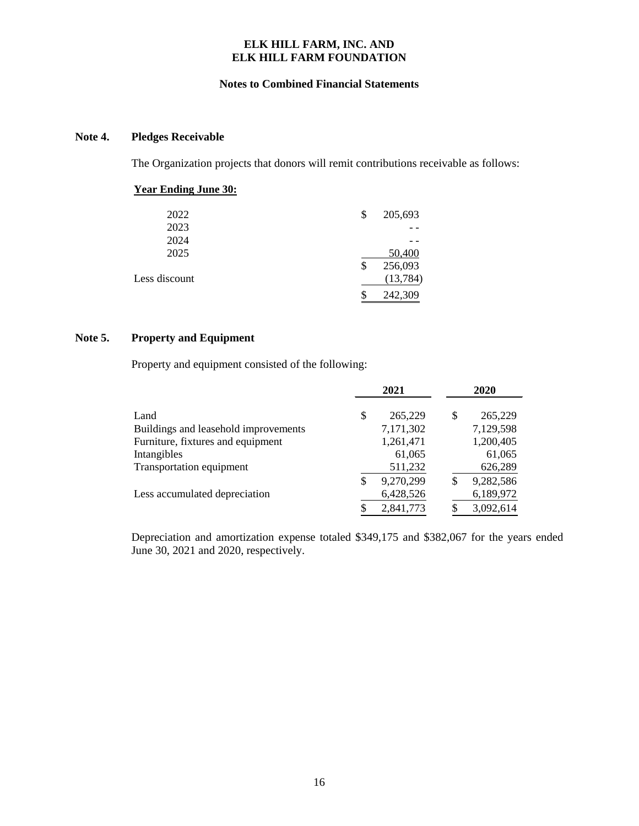#### **Notes to Combined Financial Statements**

#### **Note 4. Pledges Receivable**

The Organization projects that donors will remit contributions receivable as follows:

### **Year Ending June 30:**

| 2022          | \$<br>205,693 |
|---------------|---------------|
| 2023          |               |
| 2024          |               |
| 2025          | 50,400        |
|               | \$<br>256,093 |
| Less discount | (13,784)      |
|               | 242,309       |

#### **Note 5. Property and Equipment**

Property and equipment consisted of the following:

|                                      | 2021            |    | 2020      |
|--------------------------------------|-----------------|----|-----------|
| Land                                 | \$<br>265,229   | \$ | 265,229   |
| Buildings and leasehold improvements | 7,171,302       |    | 7,129,598 |
| Furniture, fixtures and equipment    | 1,261,471       |    | 1,200,405 |
| Intangibles                          | 61,065          |    | 61,065    |
| Transportation equipment             | 511,232         |    | 626,289   |
|                                      | \$<br>9,270,299 | \$ | 9,282,586 |
| Less accumulated depreciation        | 6,428,526       |    | 6,189,972 |
|                                      | \$<br>2,841,773 | S  | 3,092,614 |

Depreciation and amortization expense totaled \$349,175 and \$382,067 for the years ended June 30, 2021 and 2020, respectively.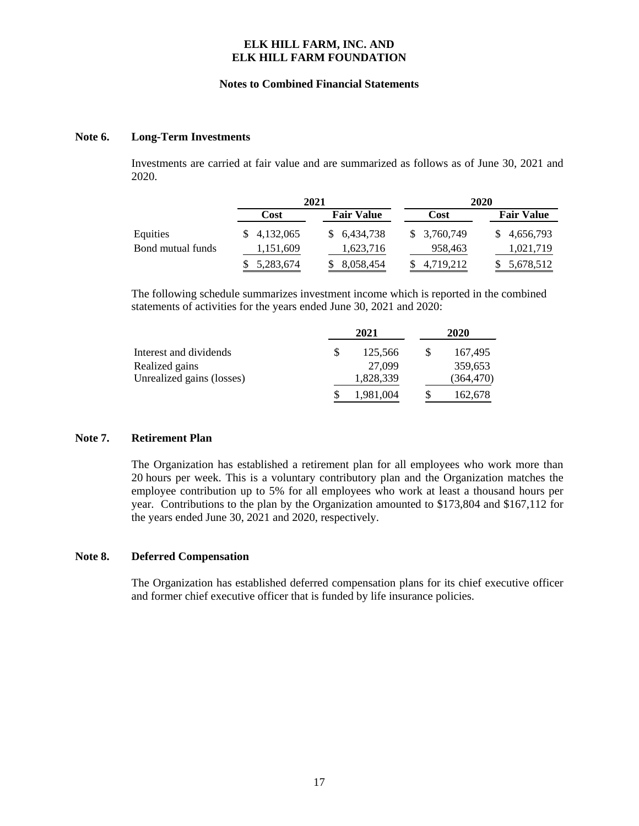#### **Notes to Combined Financial Statements**

#### **Note 6. Long-Term Investments**

Investments are carried at fair value and are summarized as follows as of June 30, 2021 and 2020.

|                   |             | 2021              |              | 2020              |
|-------------------|-------------|-------------------|--------------|-------------------|
|                   | Cost        | <b>Fair Value</b> | Cost         | <b>Fair Value</b> |
| Equities          | \$4,132,065 | \$6,434,738       | \$ 3,760,749 | 4,656,793         |
| Bond mutual funds | 1,151,609   | 1,623,716         | 958,463      | 1,021,719         |
|                   | 5,283,674   | 8,058,454         | 4,719,212    | 5,678,512         |

The following schedule summarizes investment income which is reported in the combined statements of activities for the years ended June 30, 2021 and 2020:

|                           | 2021      | 2020       |
|---------------------------|-----------|------------|
| Interest and dividends    | 125,566   | 167,495    |
| Realized gains            | 27,099    | 359,653    |
| Unrealized gains (losses) | 1,828,339 | (364, 470) |
|                           | 1.981.004 | 162,678    |

#### **Note 7. Retirement Plan**

The Organization has established a retirement plan for all employees who work more than 20 hours per week. This is a voluntary contributory plan and the Organization matches the employee contribution up to 5% for all employees who work at least a thousand hours per year. Contributions to the plan by the Organization amounted to \$173,804 and \$167,112 for the years ended June 30, 2021 and 2020, respectively.

#### **Note 8. Deferred Compensation**

The Organization has established deferred compensation plans for its chief executive officer and former chief executive officer that is funded by life insurance policies.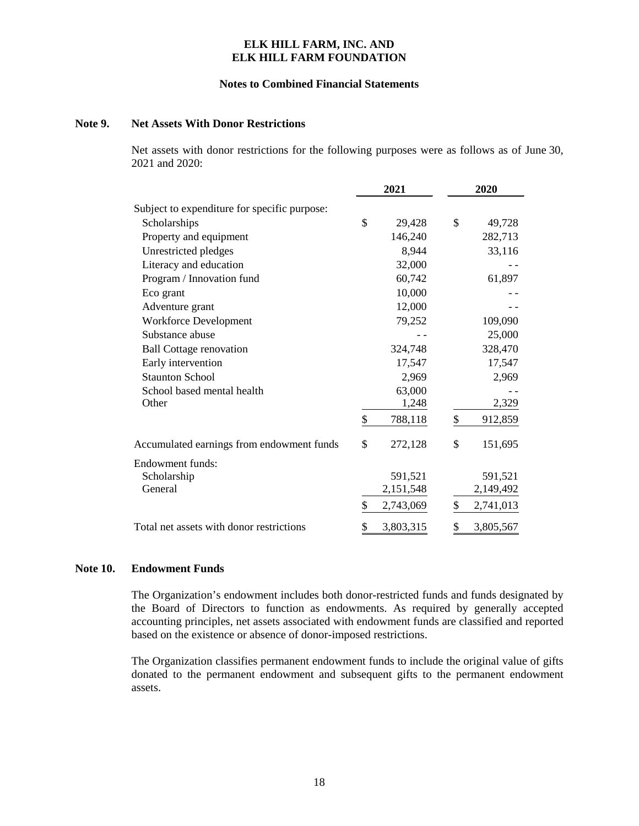#### **Notes to Combined Financial Statements**

#### **Note 9. Net Assets With Donor Restrictions**

Net assets with donor restrictions for the following purposes were as follows as of June 30, 2021 and 2020:

|                                              | 2021            | 2020 |           |  |
|----------------------------------------------|-----------------|------|-----------|--|
| Subject to expenditure for specific purpose: |                 |      |           |  |
| Scholarships                                 | \$<br>29,428    | \$   | 49,728    |  |
| Property and equipment                       | 146,240         |      | 282,713   |  |
| Unrestricted pledges                         | 8,944           |      | 33,116    |  |
| Literacy and education                       | 32,000          |      |           |  |
| Program / Innovation fund                    | 60,742          |      | 61,897    |  |
| Eco grant                                    | 10,000          |      |           |  |
| Adventure grant                              | 12,000          |      |           |  |
| <b>Workforce Development</b>                 | 79,252          |      | 109,090   |  |
| Substance abuse                              |                 |      | 25,000    |  |
| <b>Ball Cottage renovation</b>               | 324,748         |      | 328,470   |  |
| Early intervention                           | 17,547          |      | 17,547    |  |
| <b>Staunton School</b>                       | 2,969           |      | 2,969     |  |
| School based mental health                   | 63,000          |      |           |  |
| Other                                        | 1,248           |      | 2,329     |  |
|                                              | \$<br>788,118   | \$   | 912,859   |  |
| Accumulated earnings from endowment funds    | \$<br>272,128   | \$   | 151,695   |  |
| Endowment funds:                             |                 |      |           |  |
| Scholarship                                  | 591,521         |      | 591,521   |  |
| General                                      | 2,151,548       |      | 2,149,492 |  |
|                                              | \$<br>2,743,069 | \$   | 2,741,013 |  |
| Total net assets with donor restrictions     | \$<br>3,803,315 | \$   | 3,805,567 |  |

#### **Note 10. Endowment Funds**

The Organization's endowment includes both donor-restricted funds and funds designated by the Board of Directors to function as endowments. As required by generally accepted accounting principles, net assets associated with endowment funds are classified and reported based on the existence or absence of donor-imposed restrictions.

The Organization classifies permanent endowment funds to include the original value of gifts donated to the permanent endowment and subsequent gifts to the permanent endowment assets.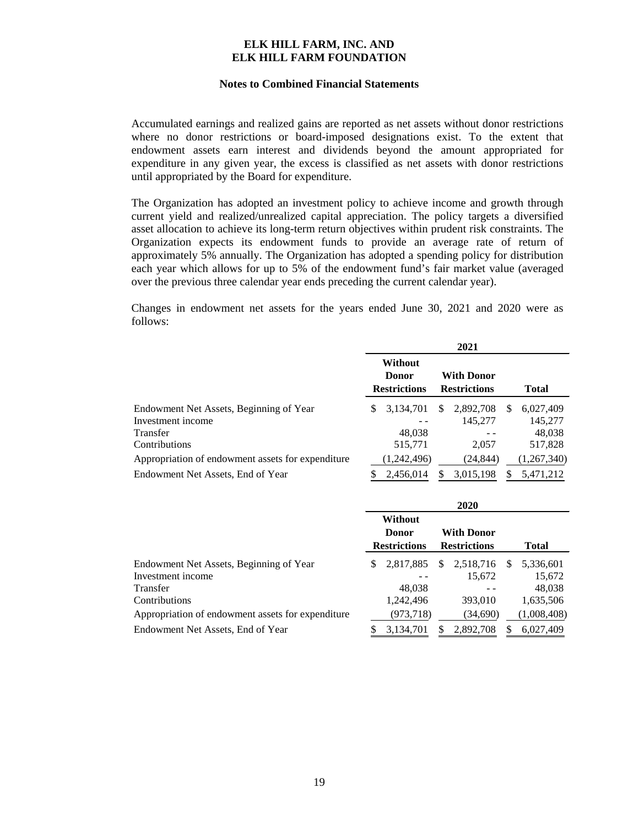#### **Notes to Combined Financial Statements**

Accumulated earnings and realized gains are reported as net assets without donor restrictions where no donor restrictions or board-imposed designations exist. To the extent that endowment assets earn interest and dividends beyond the amount appropriated for expenditure in any given year, the excess is classified as net assets with donor restrictions until appropriated by the Board for expenditure.

The Organization has adopted an investment policy to achieve income and growth through current yield and realized/unrealized capital appreciation. The policy targets a diversified asset allocation to achieve its long-term return objectives within prudent risk constraints. The Organization expects its endowment funds to provide an average rate of return of approximately 5% annually. The Organization has adopted a spending policy for distribution each year which allows for up to 5% of the endowment fund's fair market value (averaged over the previous three calendar year ends preceding the current calendar year).

Changes in endowment net assets for the years ended June 30, 2021 and 2020 were as follows:

|                                                   |   |                                                       |   | 2021                                     |          |              |
|---------------------------------------------------|---|-------------------------------------------------------|---|------------------------------------------|----------|--------------|
|                                                   |   | <b>Without</b><br><b>Donor</b><br><b>Restrictions</b> |   | <b>With Donor</b><br><b>Restrictions</b> |          | <b>Total</b> |
| Endowment Net Assets, Beginning of Year           | S | 3.134.701                                             | S | 2,892,708                                | <b>S</b> | 6,027,409    |
| Investment income                                 |   |                                                       |   | 145,277                                  |          | 145,277      |
| Transfer                                          |   | 48,038                                                |   |                                          |          | 48,038       |
| Contributions                                     |   | 515,771                                               |   | 2,057                                    |          | 517,828      |
| Appropriation of endowment assets for expenditure |   | (1,242,496)                                           |   | (24, 844)                                |          | (1,267,340)  |
| Endowment Net Assets, End of Year                 |   | 2,456,014                                             | S | 3,015,198                                |          | 5,471,212    |

|                                                   |   |                                                |    | 2020                                     |    |              |
|---------------------------------------------------|---|------------------------------------------------|----|------------------------------------------|----|--------------|
|                                                   |   | Without<br><b>Donor</b><br><b>Restrictions</b> |    | <b>With Donor</b><br><b>Restrictions</b> |    | <b>Total</b> |
| Endowment Net Assets, Beginning of Year           | S | 2,817,885                                      | \$ | 2,518,716                                | -S | 5,336,601    |
| Investment income                                 |   |                                                |    | 15,672                                   |    | 15,672       |
| Transfer                                          |   | 48,038                                         |    |                                          |    | 48,038       |
| Contributions                                     |   | 1,242,496                                      |    | 393,010                                  |    | 1,635,506    |
| Appropriation of endowment assets for expenditure |   | (973,718)                                      |    | (34,690)                                 |    | (1,008,408)  |
| Endowment Net Assets, End of Year                 | S | 3,134,701                                      | S  | 2.892.708                                | S  | 6.027.409    |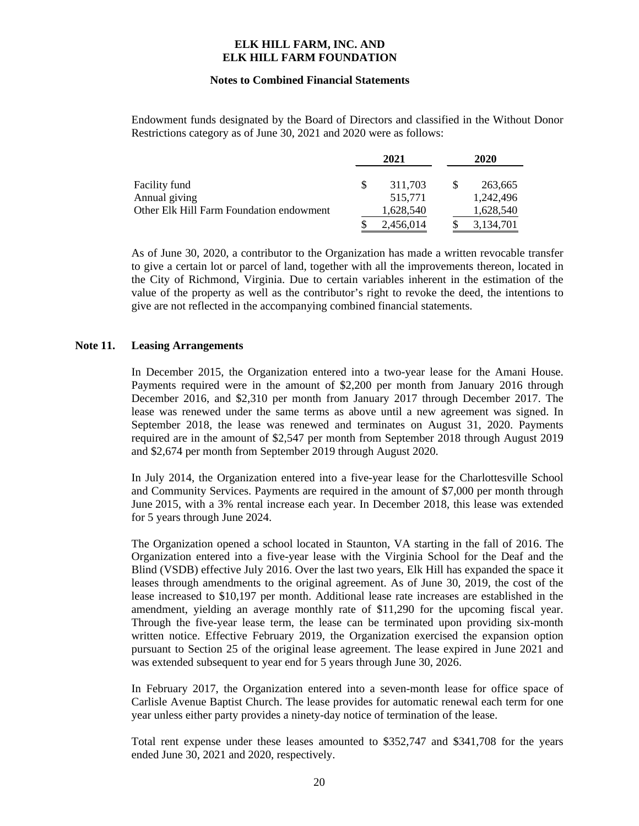#### **Notes to Combined Financial Statements**

Endowment funds designated by the Board of Directors and classified in the Without Donor Restrictions category as of June 30, 2021 and 2020 were as follows:

|                                          |   | 2021      | 2020 |           |  |
|------------------------------------------|---|-----------|------|-----------|--|
| Facility fund                            | S | 311,703   |      | 263,665   |  |
| Annual giving                            |   | 515,771   |      | 1.242.496 |  |
| Other Elk Hill Farm Foundation endowment |   | 1,628,540 |      | 1,628,540 |  |
|                                          |   | 2,456,014 |      | 3,134,701 |  |

As of June 30, 2020, a contributor to the Organization has made a written revocable transfer to give a certain lot or parcel of land, together with all the improvements thereon, located in the City of Richmond, Virginia. Due to certain variables inherent in the estimation of the value of the property as well as the contributor's right to revoke the deed, the intentions to give are not reflected in the accompanying combined financial statements.

#### **Note 11. Leasing Arrangements**

In December 2015, the Organization entered into a two-year lease for the Amani House. Payments required were in the amount of \$2,200 per month from January 2016 through December 2016, and \$2,310 per month from January 2017 through December 2017. The lease was renewed under the same terms as above until a new agreement was signed. In September 2018, the lease was renewed and terminates on August 31, 2020. Payments required are in the amount of \$2,547 per month from September 2018 through August 2019 and \$2,674 per month from September 2019 through August 2020.

In July 2014, the Organization entered into a five-year lease for the Charlottesville School and Community Services. Payments are required in the amount of \$7,000 per month through June 2015, with a 3% rental increase each year. In December 2018, this lease was extended for 5 years through June 2024.

The Organization opened a school located in Staunton, VA starting in the fall of 2016. The Organization entered into a five-year lease with the Virginia School for the Deaf and the Blind (VSDB) effective July 2016. Over the last two years, Elk Hill has expanded the space it leases through amendments to the original agreement. As of June 30, 2019, the cost of the lease increased to \$10,197 per month. Additional lease rate increases are established in the amendment, yielding an average monthly rate of \$11,290 for the upcoming fiscal year. Through the five-year lease term, the lease can be terminated upon providing six-month written notice. Effective February 2019, the Organization exercised the expansion option pursuant to Section 25 of the original lease agreement. The lease expired in June 2021 and was extended subsequent to year end for 5 years through June 30, 2026.

In February 2017, the Organization entered into a seven-month lease for office space of Carlisle Avenue Baptist Church. The lease provides for automatic renewal each term for one year unless either party provides a ninety-day notice of termination of the lease.

Total rent expense under these leases amounted to \$352,747 and \$341,708 for the years ended June 30, 2021 and 2020, respectively.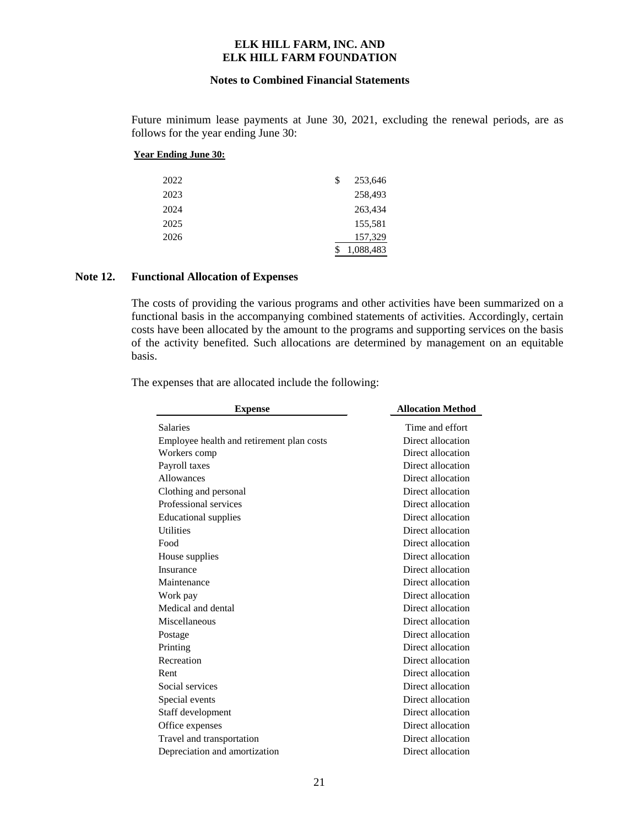#### **Notes to Combined Financial Statements**

Future minimum lease payments at June 30, 2021, excluding the renewal periods, are as follows for the year ending June 30:

#### **Year Ending June 30:**

| 2022 | \$<br>253,646 |
|------|---------------|
| 2023 | 258,493       |
| 2024 | 263,434       |
| 2025 | 155,581       |
| 2026 | 157,329       |
|      | 1,088,483     |

#### **Note 12. Functional Allocation of Expenses**

The costs of providing the various programs and other activities have been summarized on a functional basis in the accompanying combined statements of activities. Accordingly, certain costs have been allocated by the amount to the programs and supporting services on the basis of the activity benefited. Such allocations are determined by management on an equitable basis.

The expenses that are allocated include the following:

| <b>Expense</b>                            | <b>Allocation Method</b> |
|-------------------------------------------|--------------------------|
| <b>Salaries</b>                           | Time and effort          |
| Employee health and retirement plan costs | Direct allocation        |
| Workers comp                              | Direct allocation        |
| Payroll taxes                             | Direct allocation        |
| Allowances                                | Direct allocation        |
| Clothing and personal                     | Direct allocation        |
| Professional services                     | Direct allocation        |
| <b>Educational supplies</b>               | Direct allocation        |
| <b>Utilities</b>                          | Direct allocation        |
| Food                                      | Direct allocation        |
| House supplies                            | Direct allocation        |
| Insurance                                 | Direct allocation        |
| Maintenance                               | Direct allocation        |
| Work pay                                  | Direct allocation        |
| Medical and dental                        | Direct allocation        |
| Miscellaneous                             | Direct allocation        |
| Postage                                   | Direct allocation        |
| Printing                                  | Direct allocation        |
| Recreation                                | Direct allocation        |
| Rent                                      | Direct allocation        |
| Social services                           | Direct allocation        |
| Special events                            | Direct allocation        |
| Staff development                         | Direct allocation        |
| Office expenses                           | Direct allocation        |
| Travel and transportation                 | Direct allocation        |
| Depreciation and amortization             | Direct allocation        |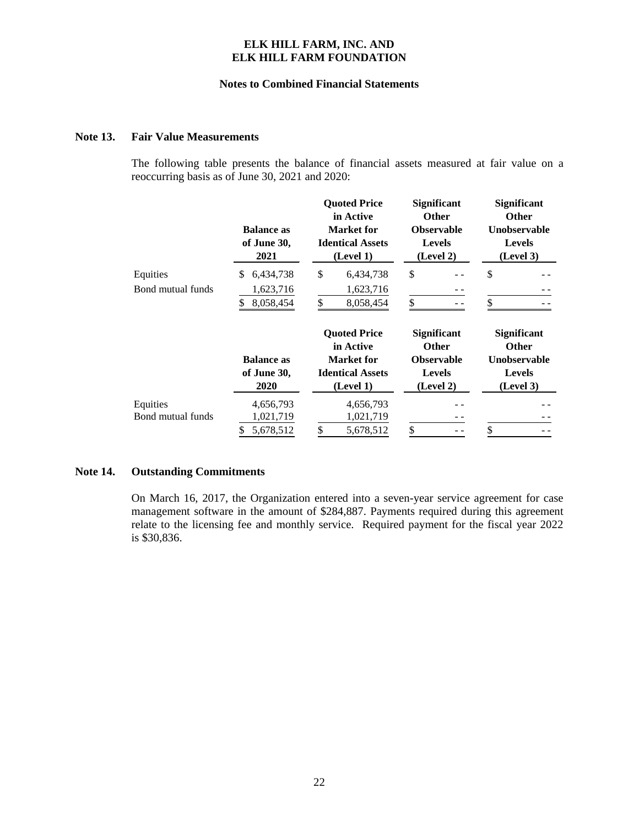#### **Notes to Combined Financial Statements**

#### **Note 13. Fair Value Measurements**

The following table presents the balance of financial assets measured at fair value on a reoccurring basis as of June 30, 2021 and 2020:

|                   | <b>Balance as</b><br>of June 30,<br>2021 | <b>Ouoted Price</b><br>in Active<br>Market for<br><b>Identical Assets</b><br>(Level 1) | <b>Significant</b><br><b>Other</b><br><b>Observable</b><br><b>Levels</b><br>(Level 2) | <b>Significant</b><br><b>Other</b><br><b>Unobservable</b><br><b>Levels</b><br>(Level 3) |
|-------------------|------------------------------------------|----------------------------------------------------------------------------------------|---------------------------------------------------------------------------------------|-----------------------------------------------------------------------------------------|
| Equities          | 6,434,738<br>\$.                         | \$<br>6,434,738                                                                        | \$                                                                                    | \$                                                                                      |
| Bond mutual funds | 1,623,716                                | 1,623,716                                                                              |                                                                                       |                                                                                         |
|                   | 8,058,454<br>S                           | \$<br>8,058,454                                                                        | \$                                                                                    | \$                                                                                      |
|                   |                                          | <b>Quoted Price</b><br>in Active                                                       | <b>Significant</b><br><b>Other</b>                                                    | <b>Significant</b><br><b>Other</b>                                                      |
|                   | <b>Balance as</b>                        | Market for                                                                             | <b>Observable</b>                                                                     | <b>Unobservable</b>                                                                     |
|                   | of June 30,                              | <b>Identical Assets</b>                                                                | <b>Levels</b>                                                                         | <b>Levels</b>                                                                           |
|                   | 2020                                     | (Level 1)                                                                              | (Level 2)                                                                             | (Level 3)                                                                               |
| Equities          | 4,656,793                                | 4,656,793                                                                              |                                                                                       |                                                                                         |
| Bond mutual funds | 1,021,719                                | 1,021,719                                                                              |                                                                                       |                                                                                         |
|                   | 5,678,512<br>\$                          | 5,678,512                                                                              | \$                                                                                    |                                                                                         |

### **Note 14. Outstanding Commitments**

On March 16, 2017, the Organization entered into a seven-year service agreement for case management software in the amount of \$284,887. Payments required during this agreement relate to the licensing fee and monthly service. Required payment for the fiscal year 2022 is \$30,836.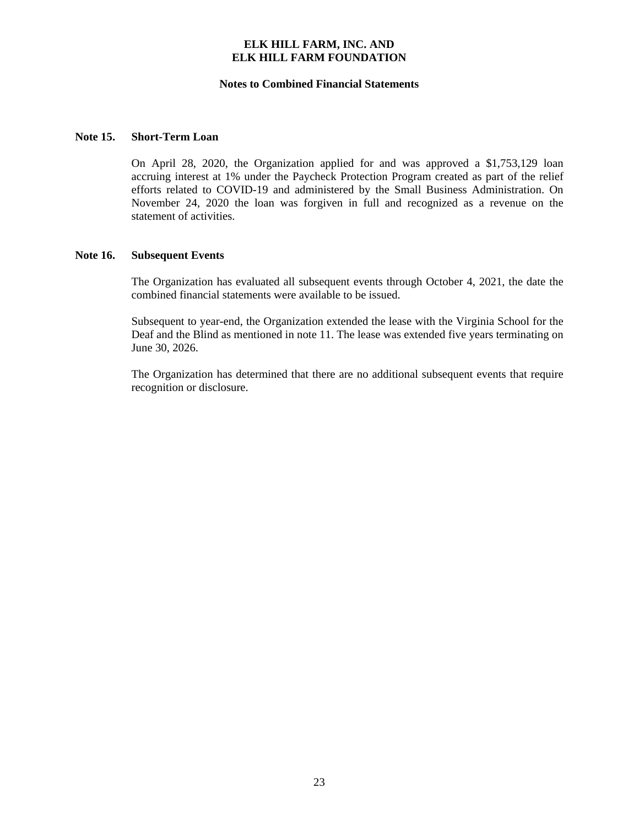#### **Notes to Combined Financial Statements**

#### **Note 15. Short-Term Loan**

On April 28, 2020, the Organization applied for and was approved a \$1,753,129 loan accruing interest at 1% under the Paycheck Protection Program created as part of the relief efforts related to COVID-19 and administered by the Small Business Administration. On November 24, 2020 the loan was forgiven in full and recognized as a revenue on the statement of activities.

#### **Note 16. Subsequent Events**

The Organization has evaluated all subsequent events through October 4, 2021, the date the combined financial statements were available to be issued.

Subsequent to year-end, the Organization extended the lease with the Virginia School for the Deaf and the Blind as mentioned in note 11. The lease was extended five years terminating on June 30, 2026.

The Organization has determined that there are no additional subsequent events that require recognition or disclosure.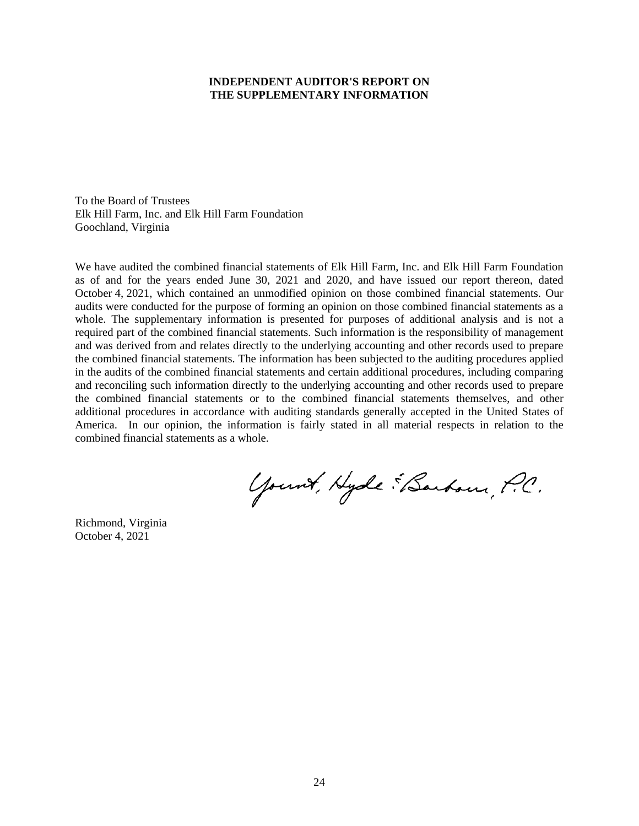#### **INDEPENDENT AUDITOR'S REPORT ON THE SUPPLEMENTARY INFORMATION**

To the Board of Trustees Elk Hill Farm, Inc. and Elk Hill Farm Foundation Goochland, Virginia

We have audited the combined financial statements of Elk Hill Farm, Inc. and Elk Hill Farm Foundation as of and for the years ended June 30, 2021 and 2020, and have issued our report thereon, dated October 4, 2021, which contained an unmodified opinion on those combined financial statements. Our audits were conducted for the purpose of forming an opinion on those combined financial statements as a whole. The supplementary information is presented for purposes of additional analysis and is not a required part of the combined financial statements. Such information is the responsibility of management and was derived from and relates directly to the underlying accounting and other records used to prepare the combined financial statements. The information has been subjected to the auditing procedures applied in the audits of the combined financial statements and certain additional procedures, including comparing and reconciling such information directly to the underlying accounting and other records used to prepare the combined financial statements or to the combined financial statements themselves, and other additional procedures in accordance with auditing standards generally accepted in the United States of America. In our opinion, the information is fairly stated in all material respects in relation to the combined financial statements as a whole.

Yount, Hyde "Barbour, P.C.

Richmond, Virginia October 4, 2021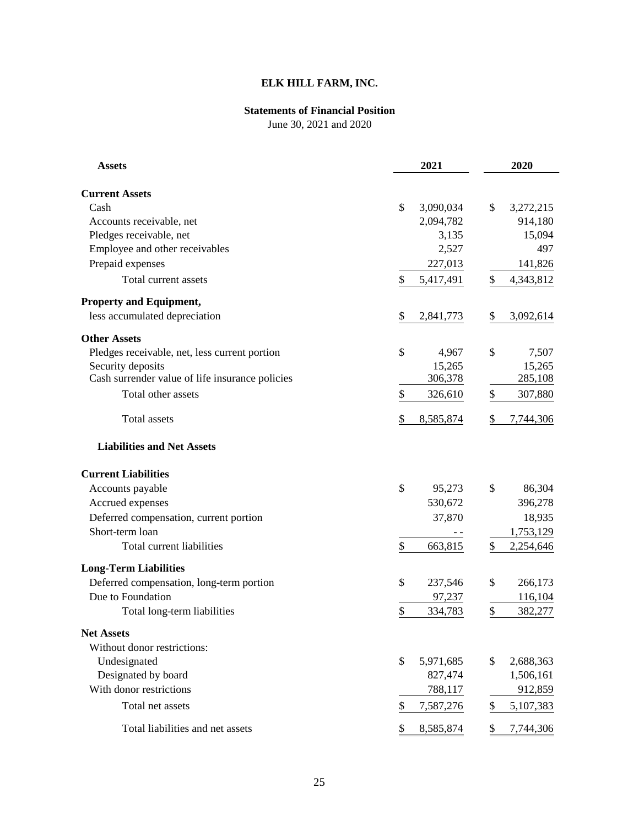# **ELK HILL FARM, INC.**

# **Statements of Financial Position**

June 30, 2021 and 2020

| <b>Assets</b>                                   | 2021            | 2020            |  |  |
|-------------------------------------------------|-----------------|-----------------|--|--|
| <b>Current Assets</b>                           |                 |                 |  |  |
| Cash                                            | \$<br>3,090,034 | \$<br>3,272,215 |  |  |
| Accounts receivable, net                        | 2,094,782       | 914,180         |  |  |
| Pledges receivable, net                         | 3,135           | 15,094          |  |  |
| Employee and other receivables                  | 2,527           | 497             |  |  |
| Prepaid expenses                                | 227,013         | 141,826         |  |  |
| Total current assets                            | \$<br>5,417,491 | 4,343,812<br>\$ |  |  |
| <b>Property and Equipment,</b>                  |                 |                 |  |  |
| less accumulated depreciation                   | \$<br>2,841,773 | \$<br>3,092,614 |  |  |
| <b>Other Assets</b>                             |                 |                 |  |  |
| Pledges receivable, net, less current portion   | \$<br>4,967     | \$<br>7,507     |  |  |
| Security deposits                               | 15,265          | 15,265          |  |  |
| Cash surrender value of life insurance policies | 306,378         | 285,108         |  |  |
| Total other assets                              | \$<br>326,610   | \$<br>307,880   |  |  |
| Total assets                                    | \$<br>8,585,874 | \$<br>7,744,306 |  |  |
| <b>Liabilities and Net Assets</b>               |                 |                 |  |  |
| <b>Current Liabilities</b>                      |                 |                 |  |  |
| Accounts payable                                | \$<br>95,273    | \$<br>86,304    |  |  |
| Accrued expenses                                | 530,672         | 396,278         |  |  |
| Deferred compensation, current portion          | 37,870          | 18,935          |  |  |
| Short-term loan                                 |                 | 1,753,129       |  |  |
| Total current liabilities                       | \$<br>663,815   | \$<br>2,254,646 |  |  |
| <b>Long-Term Liabilities</b>                    |                 |                 |  |  |
| Deferred compensation, long-term portion        | \$<br>237,546   | \$<br>266,173   |  |  |
| Due to Foundation                               | 97,237          | 116,104         |  |  |
| Total long-term liabilities                     | \$<br>334,783   | \$<br>382,277   |  |  |
| <b>Net Assets</b>                               |                 |                 |  |  |
| Without donor restrictions:                     |                 |                 |  |  |
| Undesignated                                    | \$<br>5,971,685 | \$<br>2,688,363 |  |  |
| Designated by board                             | 827,474         | 1,506,161       |  |  |
| With donor restrictions                         | 788,117         | 912,859         |  |  |
| Total net assets                                | 7,587,276<br>\$ | 5,107,383<br>\$ |  |  |
| Total liabilities and net assets                | 8,585,874<br>\$ | 7,744,306<br>\$ |  |  |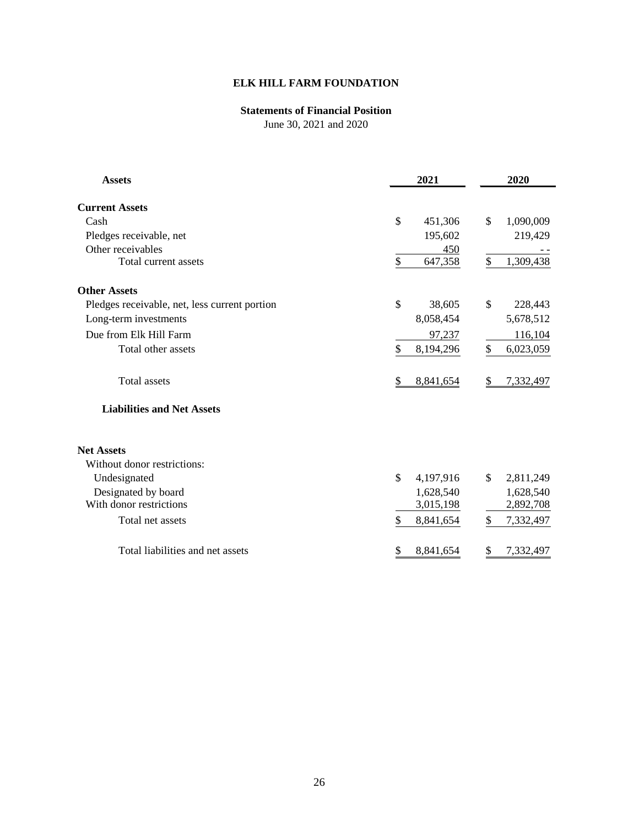# **ELK HILL FARM FOUNDATION**

## **Statements of Financial Position**

June 30, 2021 and 2020

| <b>Assets</b>                                 | 2021                       | 2020            |
|-----------------------------------------------|----------------------------|-----------------|
| <b>Current Assets</b>                         |                            |                 |
| Cash                                          | $\mathcal{S}$<br>451,306   | \$<br>1,090,009 |
| Pledges receivable, net                       | 195,602                    | 219,429         |
| Other receivables                             | 450                        |                 |
| Total current assets                          | \$<br>647,358              | \$<br>1,309,438 |
| <b>Other Assets</b>                           |                            |                 |
| Pledges receivable, net, less current portion | $\mathcal{S}$<br>38,605    | \$<br>228,443   |
| Long-term investments                         | 8,058,454                  | 5,678,512       |
| Due from Elk Hill Farm                        | 97,237                     | 116,104         |
| Total other assets                            | \$<br>8,194,296            | \$<br>6,023,059 |
| <b>Total assets</b>                           | 8,841,654<br>S             | 7,332,497<br>\$ |
| <b>Liabilities and Net Assets</b>             |                            |                 |
| <b>Net Assets</b>                             |                            |                 |
| Without donor restrictions:                   |                            |                 |
| Undesignated                                  | $\mathcal{S}$<br>4,197,916 | \$<br>2,811,249 |
| Designated by board                           | 1,628,540                  | 1,628,540       |
| With donor restrictions                       | 3,015,198                  | 2,892,708       |
| Total net assets                              | \$<br>8,841,654            | \$<br>7,332,497 |
| Total liabilities and net assets              | \$<br>8,841,654            | \$<br>7,332,497 |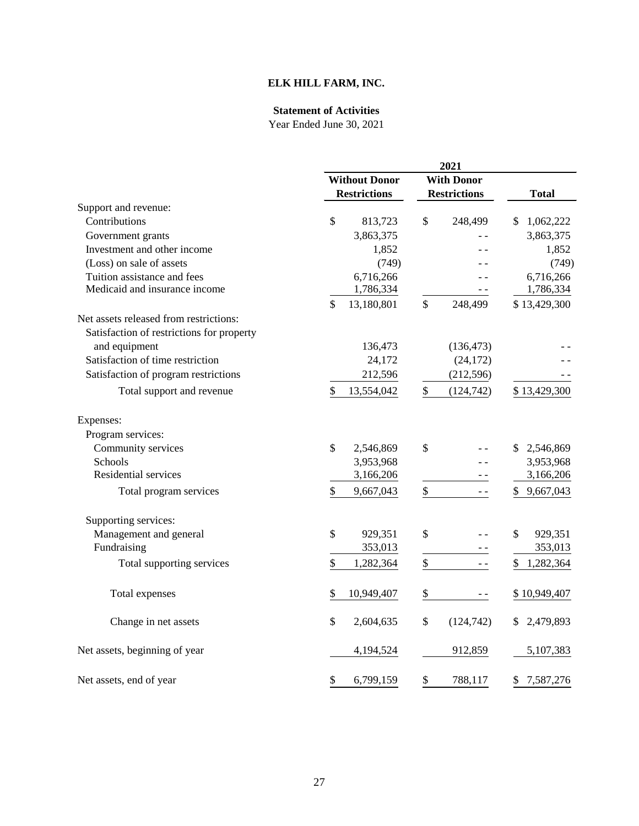# **ELK HILL FARM, INC.**

### **Statement of Activities**

|                                           |                      |                     |                   | 2021                |              |           |
|-------------------------------------------|----------------------|---------------------|-------------------|---------------------|--------------|-----------|
|                                           | <b>Without Donor</b> |                     | <b>With Donor</b> |                     |              |           |
|                                           |                      | <b>Restrictions</b> |                   | <b>Restrictions</b> | <b>Total</b> |           |
| Support and revenue:                      |                      |                     |                   |                     |              |           |
| Contributions                             | \$                   | 813,723             | \$                | 248,499             | \$           | 1,062,222 |
| Government grants                         |                      | 3,863,375           |                   |                     |              | 3,863,375 |
| Investment and other income               |                      | 1,852               |                   |                     |              | 1,852     |
| (Loss) on sale of assets                  |                      | (749)               |                   |                     |              | (749)     |
| Tuition assistance and fees               |                      | 6,716,266           |                   |                     |              | 6,716,266 |
| Medicaid and insurance income             |                      | 1,786,334           |                   |                     |              | 1,786,334 |
|                                           | \$                   | 13,180,801          | \$                | 248,499             | \$13,429,300 |           |
| Net assets released from restrictions:    |                      |                     |                   |                     |              |           |
| Satisfaction of restrictions for property |                      |                     |                   |                     |              |           |
| and equipment                             |                      | 136,473             |                   | (136, 473)          |              |           |
| Satisfaction of time restriction          |                      | 24,172              |                   | (24, 172)           |              |           |
| Satisfaction of program restrictions      |                      | 212,596             |                   | (212, 596)          |              |           |
| Total support and revenue                 | \$                   | 13,554,042          | \$                | (124, 742)          | \$13,429,300 |           |
| Expenses:                                 |                      |                     |                   |                     |              |           |
| Program services:                         |                      |                     |                   |                     |              |           |
| Community services                        | \$                   | 2,546,869           | \$                |                     | \$           | 2,546,869 |
| Schools                                   |                      | 3,953,968           |                   |                     |              | 3,953,968 |
| Residential services                      |                      | 3,166,206           |                   |                     |              | 3,166,206 |
| Total program services                    | \$                   | 9,667,043           | \$                |                     | \$           | 9,667,043 |
| Supporting services:                      |                      |                     |                   |                     |              |           |
| Management and general                    | \$                   | 929,351             | \$                |                     | \$           | 929,351   |
| Fundraising                               |                      | 353,013             |                   |                     |              | 353,013   |
| Total supporting services                 | \$                   | 1,282,364           | \$                |                     |              | 1,282,364 |
| Total expenses                            | \$                   | 10,949,407          | \$                |                     | \$10,949,407 |           |
|                                           | \$                   |                     |                   |                     |              |           |
| Change in net assets                      |                      | 2,604,635           | \$                | (124, 742)          | \$           | 2,479,893 |
| Net assets, beginning of year             |                      | 4,194,524           |                   | 912,859             |              | 5,107,383 |
| Net assets, end of year                   | \$                   | 6,799,159           | \$                | 788,117             | \$           | 7,587,276 |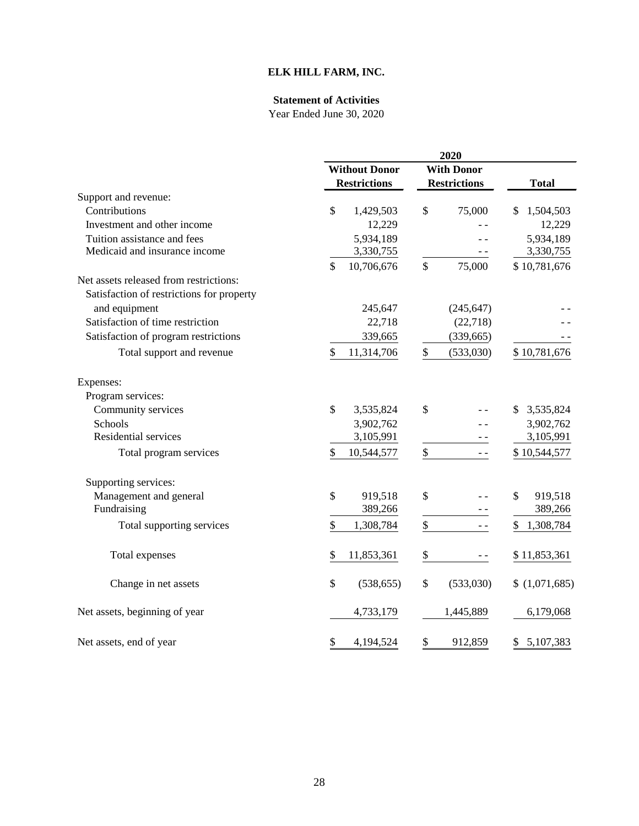# **ELK HILL FARM, INC.**

### **Statement of Activities**

|                                           |                      |                     |                   | 2020                |                 |  |  |
|-------------------------------------------|----------------------|---------------------|-------------------|---------------------|-----------------|--|--|
|                                           | <b>Without Donor</b> |                     | <b>With Donor</b> |                     |                 |  |  |
|                                           |                      | <b>Restrictions</b> |                   | <b>Restrictions</b> | <b>Total</b>    |  |  |
| Support and revenue:                      |                      |                     |                   |                     |                 |  |  |
| Contributions                             | \$                   | 1,429,503           | \$                | 75,000              | 1,504,503<br>S  |  |  |
| Investment and other income               |                      | 12,229              |                   |                     | 12,229          |  |  |
| Tuition assistance and fees               |                      | 5,934,189           |                   |                     | 5,934,189       |  |  |
| Medicaid and insurance income             |                      | 3,330,755           |                   |                     | 3,330,755       |  |  |
|                                           | \$                   | 10,706,676          | \$                | 75,000              | \$10,781,676    |  |  |
| Net assets released from restrictions:    |                      |                     |                   |                     |                 |  |  |
| Satisfaction of restrictions for property |                      |                     |                   |                     |                 |  |  |
| and equipment                             |                      | 245,647             |                   | (245, 647)          |                 |  |  |
| Satisfaction of time restriction          |                      | 22,718              |                   | (22, 718)           |                 |  |  |
| Satisfaction of program restrictions      |                      | 339,665             |                   | (339, 665)          |                 |  |  |
| Total support and revenue                 | \$                   | 11,314,706          | \$                | (533,030)           | \$10,781,676    |  |  |
| Expenses:                                 |                      |                     |                   |                     |                 |  |  |
| Program services:                         |                      |                     |                   |                     |                 |  |  |
| Community services                        | $\mathsf{\$}$        | 3,535,824           | \$                |                     | 3,535,824<br>\$ |  |  |
| Schools                                   |                      | 3,902,762           |                   |                     | 3,902,762       |  |  |
| Residential services                      |                      | 3,105,991           |                   |                     | 3,105,991       |  |  |
| Total program services                    | $\mathcal{S}$        | 10,544,577          | \$                | $ -$                | \$10,544,577    |  |  |
| Supporting services:                      |                      |                     |                   |                     |                 |  |  |
| Management and general                    | \$                   | 919,518             | \$                |                     | \$<br>919,518   |  |  |
| Fundraising                               |                      | 389,266             |                   |                     | 389,266         |  |  |
| Total supporting services                 | \$                   | 1,308,784           | $\boldsymbol{\$}$ | $ -$                | 1,308,784<br>\$ |  |  |
| Total expenses                            | \$                   | 11,853,361          | $\frac{1}{2}$     |                     | \$11,853,361    |  |  |
| Change in net assets                      | \$                   | (538, 655)          | \$                | (533,030)           | \$(1,071,685)   |  |  |
| Net assets, beginning of year             |                      | 4,733,179           |                   | 1,445,889           | 6,179,068       |  |  |
| Net assets, end of year                   | \$                   | 4,194,524           | \$                | 912,859             | 5,107,383<br>\$ |  |  |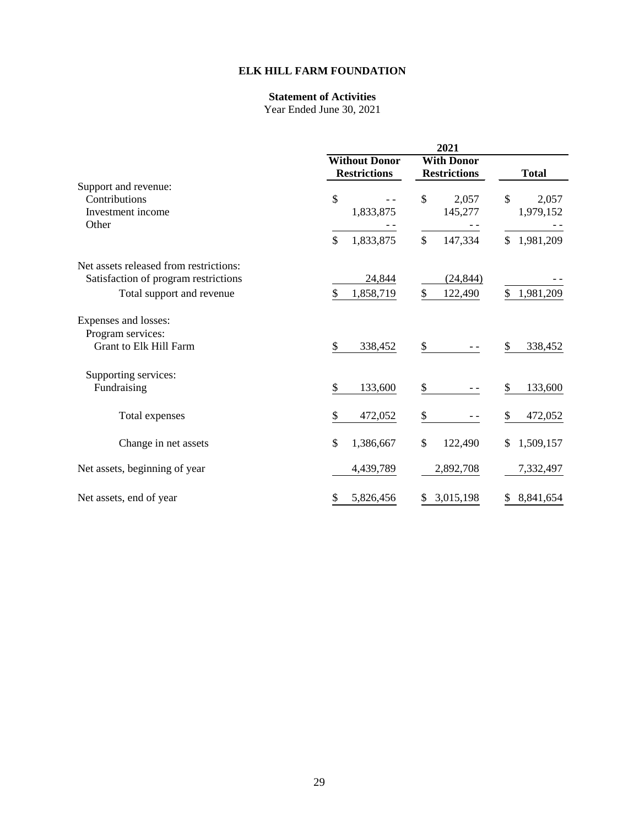## **ELK HILL FARM FOUNDATION**

# **Statement of Activities**

|                                                                     | 2021                                        |                                          |                            |
|---------------------------------------------------------------------|---------------------------------------------|------------------------------------------|----------------------------|
|                                                                     | <b>Without Donor</b><br><b>Restrictions</b> | <b>With Donor</b><br><b>Restrictions</b> | <b>Total</b>               |
| Support and revenue:                                                |                                             |                                          |                            |
| Contributions<br>Investment income                                  | \$<br>1,833,875                             | \$<br>2,057<br>145,277                   | \$<br>2,057<br>1,979,152   |
| Other                                                               |                                             |                                          |                            |
|                                                                     | \$<br>1,833,875                             | \$<br>147,334                            | $\mathcal{S}$<br>1,981,209 |
| Net assets released from restrictions:                              |                                             |                                          |                            |
| Satisfaction of program restrictions                                | 24,844                                      | (24, 844)                                |                            |
| Total support and revenue                                           | \$<br>1,858,719                             | \$<br>122,490                            | \$<br>1,981,209            |
| Expenses and losses:<br>Program services:<br>Grant to Elk Hill Farm | \$<br>338,452                               | \$                                       | 338,452<br>\$              |
|                                                                     |                                             |                                          |                            |
| Supporting services:<br>Fundraising                                 | \$<br>133,600                               | \$                                       | 133,600<br>\$              |
|                                                                     |                                             |                                          |                            |
| Total expenses                                                      | \$<br>472,052                               | \$                                       | 472,052<br>\$              |
| Change in net assets                                                | \$<br>1,386,667                             | \$<br>122,490                            | 1,509,157<br>\$            |
| Net assets, beginning of year                                       | 4,439,789                                   | 2,892,708                                | 7,332,497                  |
| Net assets, end of year                                             | 5,826,456<br>\$                             | 3,015,198<br>\$                          | \$<br>8,841,654            |